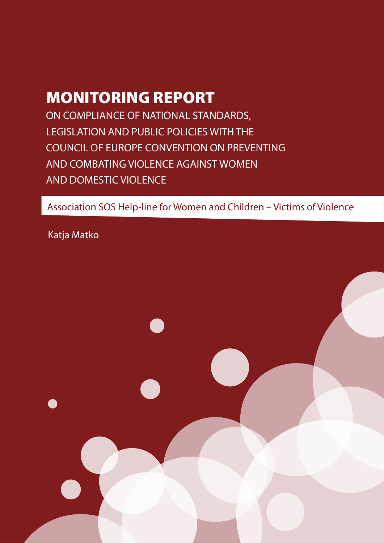# MONITORING REPORT

ON COMPLIANCE OF NATIONAL STANDARDS, LEGISLATION AND PUBLIC POLICIES WITH THE COUNCIL OF EUROPE CONVENTION ON PREVENTING AND COMBATING VIOLENCE AGAINST WOMEN AND DOMESTIC VIOLENCE

Association SOS Help-line for Women and Children – Victims of Violence

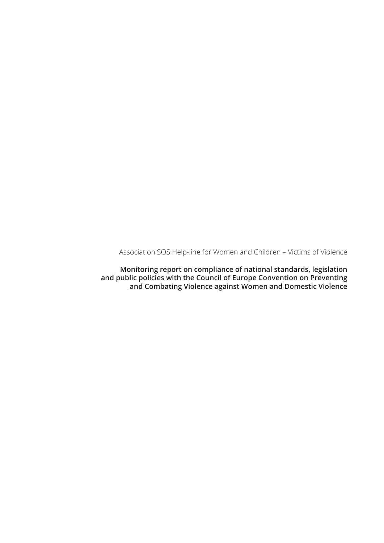Association SOS Help-line for Women and Children – Victims of Violence

**Monitoring report on compliance of national standards, legislation and public policies with the Council of Europe Convention on Preventing and Combating Violence against Women and Domestic Violence**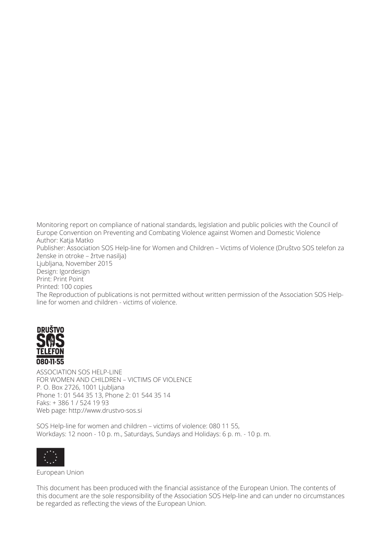Monitoring report on compliance of national standards, legislation and public policies with the Council of Europe Convention on Preventing and Combating Violence against Women and Domestic Violence Author: Katja Matko Publisher: Association SOS Help-line for Women and Children – Victims of Violence (Društvo SOS telefon za ženske in otroke – žrtve nasilja) Ljubljana, November 2015 Design: Igordesign Print: Print Point Printed: 100 copies The Reproduction of publications is not permitted without written permission of the Association SOS Helpline for women and children - victims of violence.



ASSOCIATION SOS HELP-LINE FOR WOMEN AND CHILDREN – VICTIMS OF VIOLENCE P. O. Box 2726, 1001 Ljubljana Phone 1: 01 544 35 13, Phone 2: 01 544 35 14 Faks: + 386 1 / 524 19 93 Web page: http://www.drustvo-sos.si

SOS Help-line for women and children – victims of violence: 080 11 55, Workdays: 12 noon - 10 p. m., Saturdays, Sundays and Holidays: 6 p. m. - 10 p. m.



European Union

This document has been produced with the financial assistance of the European Union. The contents of this document are the sole responsibility of the Association SOS Help-line and can under no circumstances be regarded as reflecting the views of the European Union.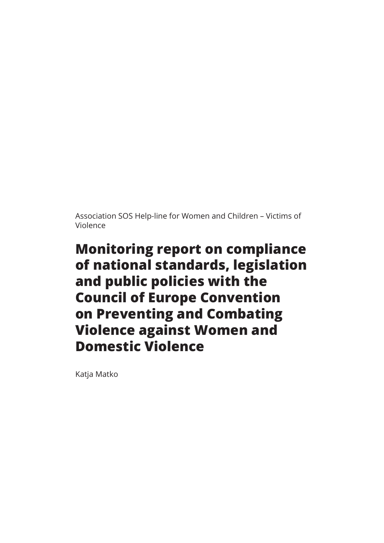Association SOS Help-line for Women and Children – Victims of Violence

# **Monitoring report on compliance of national standards, legislation and public policies with the Council of Europe Convention on Preventing and Combating Violence against Women and Domestic Violence**

Katja Matko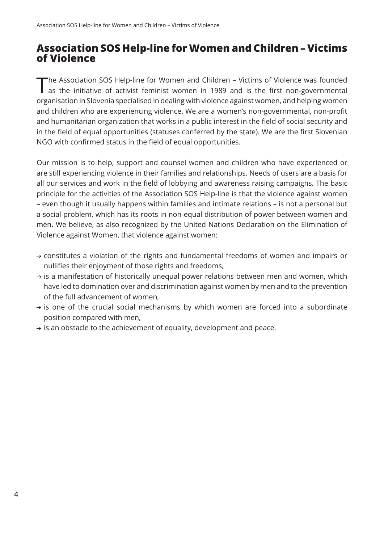# **Association SOS Help-line for Women and Children – Victims of Violence**

The Association SOS Help-line for Women and Children – Victims of Violence was founded as the initiative of activist feminist women in 1989 and is the first non-governmental organisation in Slovenia specialised in dealing with violence against women, and helping women and children who are experiencing violence. We are a women's non-governmental, non-profit and humanitarian organization that works in a public interest in the field of social security and in the field of equal opportunities (statuses conferred by the state). We are the first Slovenian NGO with confirmed status in the field of equal opportunities.

Our mission is to help, support and counsel women and children who have experienced or are still experiencing violence in their families and relationships. Needs of users are a basis for all our services and work in the field of lobbying and awareness raising campaigns. The basic principle for the activities of the Association SOS Help-line is that the violence against women – even though it usually happens within families and intimate relations – is not a personal but a social problem, which has its roots in non-equal distribution of power between women and men. We believe, as also recognized by the United Nations Declaration on the Elimination of Violence against Women, that violence against women:

- $\rightarrow$  constitutes a violation of the rights and fundamental freedoms of women and impairs or nullifies their enjoyment of those rights and freedoms,
- $\rightarrow$  is a manifestation of historically unequal power relations between men and women, which have led to domination over and discrimination against women by men and to the prevention of the full advancement of women,
- $\rightarrow$  is one of the crucial social mechanisms by which women are forced into a subordinate position compared with men,
- $\rightarrow$  is an obstacle to the achievement of equality, development and peace.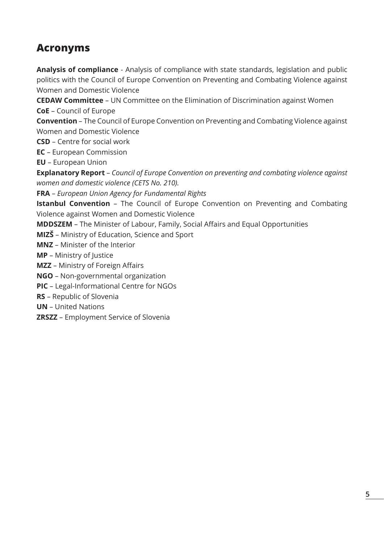# **Acronyms**

**Analysis of compliance** - Analysis of compliance with state standards, legislation and public politics with the Council of Europe Convention on Preventing and Combating Violence against Women and Domestic Violence

**CEDAW Committee** – UN Committee on the Elimination of Discrimination against Women **CoE** – Council of Europe

**Convention** – The Council of Europe Convention on Preventing and Combating Violence against Women and Domestic Violence

**CSD** – Centre for social work

**EC** – European Commission

**EU** – European Union

**Explanatory Report** – *Council of Europe Convention on preventing and combating violence against women and domestic violence (CETS No. 210).* 

**FRA** – *European Union Agency for Fundamental Rights*

**Istanbul Convention** - The Council of Europe Convention on Preventing and Combating Violence against Women and Domestic Violence

**MDDSZEM** – The Minister of Labour, Family, Social Affairs and Equal Opportunities

**MIZŠ** – Ministry of Education, Science and Sport

**MNZ** – Minister of the Interior

**MP** – Ministry of Justice

**MZZ** – Ministry of Foreign Affairs

**NGO** – Non-governmental organization

**PIC** – Legal-Informational Centre for NGOs

**RS** – Republic of Slovenia

**UN** – United Nations

**ZRSZZ** – Employment Service of Slovenia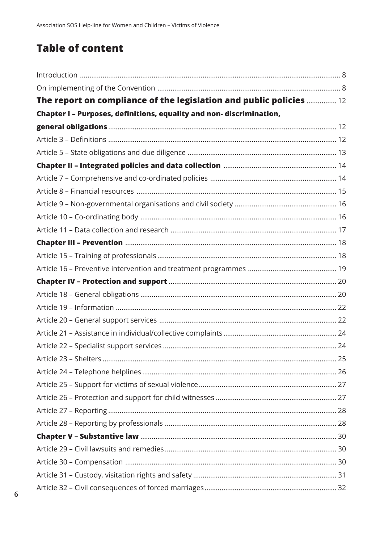# **Table of content**

| The report on compliance of the legislation and public policies  12  |  |
|----------------------------------------------------------------------|--|
| Chapter I - Purposes, definitions, equality and non- discrimination, |  |
|                                                                      |  |
|                                                                      |  |
|                                                                      |  |
|                                                                      |  |
|                                                                      |  |
|                                                                      |  |
|                                                                      |  |
|                                                                      |  |
|                                                                      |  |
|                                                                      |  |
|                                                                      |  |
|                                                                      |  |
|                                                                      |  |
|                                                                      |  |
|                                                                      |  |
|                                                                      |  |
|                                                                      |  |
|                                                                      |  |
|                                                                      |  |
|                                                                      |  |
|                                                                      |  |
|                                                                      |  |
|                                                                      |  |
|                                                                      |  |
|                                                                      |  |
|                                                                      |  |
|                                                                      |  |
|                                                                      |  |
|                                                                      |  |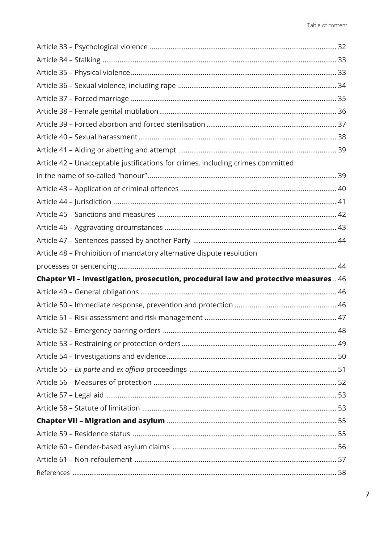| Article 42 - Unacceptable justifications for crimes, including crimes committed    |      |
|------------------------------------------------------------------------------------|------|
|                                                                                    |      |
|                                                                                    |      |
|                                                                                    |      |
|                                                                                    |      |
|                                                                                    |      |
|                                                                                    |      |
| Article 48 - Prohibition of mandatory alternative dispute resolution               |      |
|                                                                                    |      |
| Chapter VI - Investigation, prosecution, procedural law and protective measures 46 |      |
|                                                                                    |      |
|                                                                                    |      |
|                                                                                    |      |
|                                                                                    | . 48 |
|                                                                                    |      |
|                                                                                    |      |
|                                                                                    |      |
|                                                                                    |      |
|                                                                                    |      |
|                                                                                    |      |
|                                                                                    |      |
|                                                                                    |      |
|                                                                                    |      |
|                                                                                    |      |
|                                                                                    |      |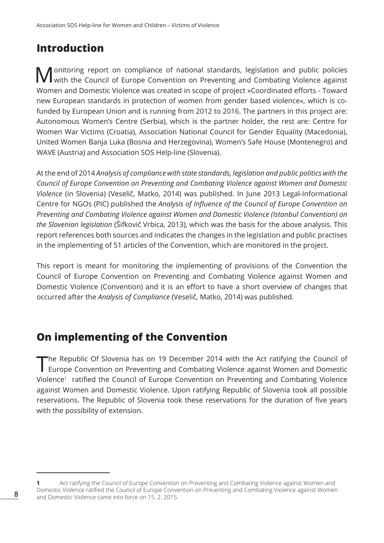# **Introduction**

Monitoring report on compliance of national standards, legislation and public policies<br>Wwith the Council of Europe Convention on Preventing and Combating Violence against Women and Domestic Violence was created in scope of project »Coordinated efforts - Toward new European standards in protection of women from gender based violence«, which is cofunded by European Union and is running from 2012 to 2016. The partners in this project are: Autonomous Women's Centre (Serbia), which is the partner holder, the rest are: Centre for Women War Victims (Croatia), Association National Council for Gender Equality (Macedonia), United Women Banja Luka (Bosnia and Herzegovina), Women's Safe House (Montenegro) and WAVE (Austria) and Association SOS Help-line (Slovenia).

At the end of 2014 *Analysis of compliance with state standards, legislation and public politics with the Council of Europe Convention on Preventing and Combating Violence against Women and Domestic Violence* (in Slovenia) (Veselič, Matko, 2014) was published. In June 2013 Legal-Informational Centre for NGOs (PIC) published the *Analysis of Influence of the Council of Europe Convention on Preventing and Combating Violence against Women and Domestic Violence (Istanbul Convention) on the Slovenian legislation* (Šifkovič Vrbica, 2013), which was the basis for the above analysis. This report references both sources and indicates the changes in the legislation and public practises in the implementing of 51 articles of the Convention, which are monitored in the project.

This report is meant for monitoring the implementing of provisions of the Convention the Council of Europe Convention on Preventing and Combating Violence against Women and Domestic Violence (Convention) and it is an effort to have a short overview of changes that occurred after the *Analysis of Compliance* (Veselič, Matko, 2014) was published.

# **On implementing of the Convention**

The Republic Of Slovenia has on 19 December 2014 with the Act ratifying the Council of Europe Convention on Preventing and Combating Violence against Women and Domestic Violence<sup>1</sup> ratified the Council of Europe Convention on Preventing and Combating Violence against Women and Domestic Violence. Upon ratifying Republic of Slovenia took all possible reservations. The Republic of Slovenia took these reservations for the duration of five years with the possibility of extension.

**<sup>1</sup>** Act ratifying the Council of Europe Convention on Preventing and Combating Violence against Women and Domestic Violence ratified the Council of Europe Convention on Preventing and Combating Violence against Women and Domestic Violence came into force on 15. 2. 2015.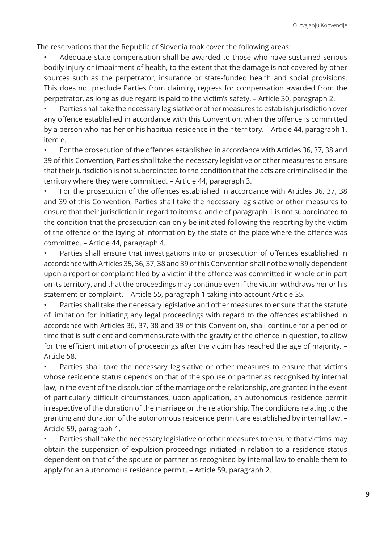The reservations that the Republic of Slovenia took cover the following areas:

• Adequate state compensation shall be awarded to those who have sustained serious bodily injury or impairment of health, to the extent that the damage is not covered by other sources such as the perpetrator, insurance or state-funded health and social provisions. This does not preclude Parties from claiming regress for compensation awarded from the perpetrator, as long as due regard is paid to the victim's safety. – Article 30, paragraph 2.

• Parties shall take the necessary legislative or other measures to establish jurisdiction over any offence established in accordance with this Convention, when the offence is committed by a person who has her or his habitual residence in their territory. – Article 44, paragraph 1, item e.

• For the prosecution of the offences established in accordance with Articles 36, 37, 38 and 39 of this Convention, Parties shall take the necessary legislative or other measures to ensure that their jurisdiction is not subordinated to the condition that the acts are criminalised in the territory where they were committed. – Article 44, paragraph 3.

• For the prosecution of the offences established in accordance with Articles 36, 37, 38 and 39 of this Convention, Parties shall take the necessary legislative or other measures to ensure that their jurisdiction in regard to items d and e of paragraph 1 is not subordinated to the condition that the prosecution can only be initiated following the reporting by the victim of the offence or the laying of information by the state of the place where the offence was committed. – Article 44, paragraph 4.

Parties shall ensure that investigations into or prosecution of offences established in accordance with Articles 35, 36, 37, 38 and 39 of this Convention shall not be wholly dependent upon a report or complaint filed by a victim if the offence was committed in whole or in part on its territory, and that the proceedings may continue even if the victim withdraws her or his statement or complaint. – Article 55, paragraph 1 taking into account Article 35.

Parties shall take the necessary legislative and other measures to ensure that the statute of limitation for initiating any legal proceedings with regard to the offences established in accordance with Articles 36, 37, 38 and 39 of this Convention, shall continue for a period of time that is sufficient and commensurate with the gravity of the offence in question, to allow for the efficient initiation of proceedings after the victim has reached the age of majority. – Article 58.

Parties shall take the necessary legislative or other measures to ensure that victims whose residence status depends on that of the spouse or partner as recognised by internal law, in the event of the dissolution of the marriage or the relationship, are granted in the event of particularly difficult circumstances, upon application, an autonomous residence permit irrespective of the duration of the marriage or the relationship. The conditions relating to the granting and duration of the autonomous residence permit are established by internal law. – Article 59, paragraph 1.

• Parties shall take the necessary legislative or other measures to ensure that victims may obtain the suspension of expulsion proceedings initiated in relation to a residence status dependent on that of the spouse or partner as recognised by internal law to enable them to apply for an autonomous residence permit. – Article 59, paragraph 2.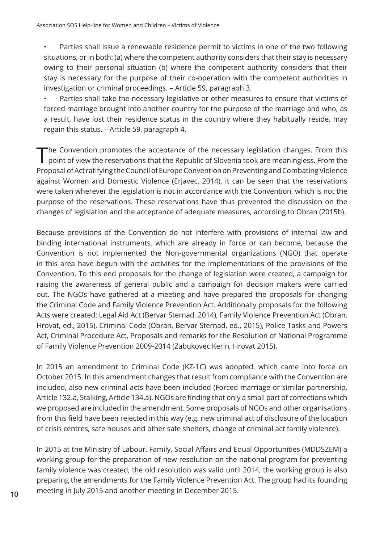• Parties shall issue a renewable residence permit to victims in one of the two following situations, or in both: (a) where the competent authority considers that their stay is necessary owing to their personal situation (b) where the competent authority considers that their stay is necessary for the purpose of their co-operation with the competent authorities in investigation or criminal proceedings. – Article 59, paragraph 3.

Parties shall take the necessary legislative or other measures to ensure that victims of forced marriage brought into another country for the purpose of the marriage and who, as a result, have lost their residence status in the country where they habitually reside, may regain this status. – Article 59, paragraph 4.

The Convention promotes the acceptance of the necessary legislation changes. From this point of view the reservations that the Republic of Slovenia took are meaningless. From the Proposal of Act ratifying the Council of Europe Convention on Preventing and Combating Violence against Women and Domestic Violence (Erjavec, 2014), it can be seen that the reservations were taken wherever the legislation is not in accordance with the Convention, which is not the purpose of the reservations. These reservations have thus prevented the discussion on the changes of legislation and the acceptance of adequate measures, according to Obran (2015b).

Because provisions of the Convention do not interfere with provisions of internal law and binding international instruments, which are already in force or can become, because the Convention is not implemented the Non-governmental organizations (NGO) that operate in this area have begun with the activities for the implementations of the provisions of the Convention. To this end proposals for the change of legislation were created, a campaign for raising the awareness of general public and a campaign for decision makers were carried out. The NGOs have gathered at a meeting and have prepared the proposals for changing the Criminal Code and Family Violence Prevention Act. Additionally proposals for the following Acts were created: Legal Aid Act (Bervar Sternad, 2014), Family Violence Prevention Act (Obran, Hrovat, ed., 2015), Criminal Code (Obran, Bervar Sternad, ed., 2015), Police Tasks and Powers Act, Criminal Procedure Act, Proposals and remarks for the Resolution of National Programme of Family Violence Prevention 2009-2014 (Zabukovec Kerin, Hrovat 2015).

In 2015 an amendment to Criminal Code (KZ-1C) was adopted, which came into force on October 2015. In this amendment changes that result from compliance with the Convention are included, also new criminal acts have been included (Forced marriage or similar partnership, Article 132.a, Stalking, Article 134.a). NGOs are finding that only a small part of corrections which we proposed are included in the amendment. Some proposals of NGOs and other organisations from this field have been rejected in this way (e.g. new criminal act of disclosure of the location of crisis centres, safe houses and other safe shelters, change of criminal act family violence).

In 2015 at the Ministry of Labour, Family, Social Affairs and Equal Opportunities (MDDSZEM) a working group for the preparation of new resolution on the national program for preventing family violence was created, the old resolution was valid until 2014, the working group is also preparing the amendments for the Family Violence Prevention Act. The group had its founding meeting in July 2015 and another meeting in December 2015.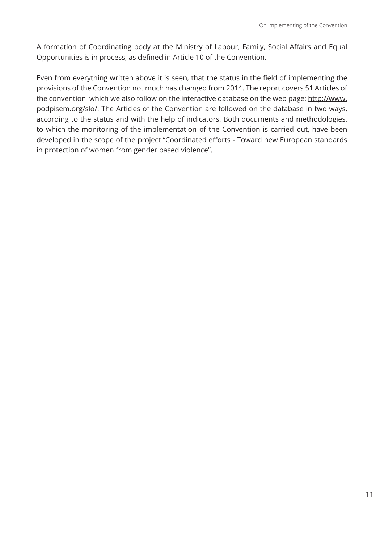A formation of Coordinating body at the Ministry of Labour, Family, Social Affairs and Equal Opportunities is in process, as defined in Article 10 of the Convention.

Even from everything written above it is seen, that the status in the field of implementing the provisions of the Convention not much has changed from 2014. The report covers 51 Articles of the convention which we also follow on the interactive database on the web page: http://www. podpisem.org/slo/. The Articles of the Convention are followed on the database in two ways, according to the status and with the help of indicators. Both documents and methodologies, to which the monitoring of the implementation of the Convention is carried out, have been developed in the scope of the project "Coordinated efforts - Toward new European standards in protection of women from gender based violence".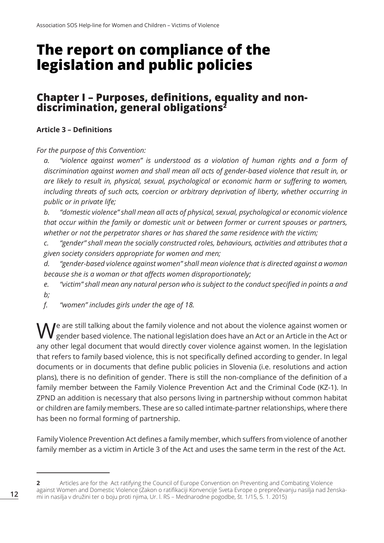# **The report on compliance of the legislation and public policies**

# **Chapter I – Purposes, definitions, equality and nondiscrimination, general obligations2**

# **Article 3 – Definitions**

*For the purpose of this Convention:*

*a. "violence against women" is understood as a violation of human rights and a form of discrimination against women and shall mean all acts of gender-based violence that result in, or are likely to result in, physical, sexual, psychological or economic harm or suffering to women, including threats of such acts, coercion or arbitrary deprivation of liberty, whether occurring in public or in private life;*

*b. "domestic violence" shall mean all acts of physical, sexual, psychological or economic violence that occur within the family or domestic unit or between former or current spouses or partners, whether or not the perpetrator shares or has shared the same residence with the victim;*

*c. "gender" shall mean the socially constructed roles, behaviours, activities and attributes that a given society considers appropriate for women and men;*

*d. "gender-based violence against women" shall mean violence that is directed against a woman because she is a woman or that affects women disproportionately;*

*e. "victim" shall mean any natural person who is subject to the conduct specified in points a and b;*

*f. "women" includes girls under the age of 18.*

 $\bigvee$  are still talking about the family violence and not about the violence against women or gender based violence. The national legislation does have an Act or an Article in the Act or any other legal document that would directly cover violence against women. In the legislation that refers to family based violence, this is not specifically defined according to gender. In legal documents or in documents that define public policies in Slovenia (i.e. resolutions and action plans), there is no definition of gender. There is still the non-compliance of the definition of a family member between the Family Violence Prevention Act and the Criminal Code (KZ-1). In ZPND an addition is necessary that also persons living in partnership without common habitat or children are family members. These are so called intimate-partner relationships, where there has been no formal forming of partnership.

Family Violence Prevention Act defines a family member, which suffers from violence of another family member as a victim in Article 3 of the Act and uses the same term in the rest of the Act.

**<sup>2</sup>** Articles are for the Act ratifying the Council of Europe Convention on Preventing and Combating Violence against Women and Domestic Violence (Zakon o ratifikaciji Konvencije Sveta Evrope o preprečevanju nasilja nad ženskami in nasilja v družini ter o boju proti njima, Ur. l. RS – Mednarodne pogodbe, št. 1/15, 5. 1. 2015)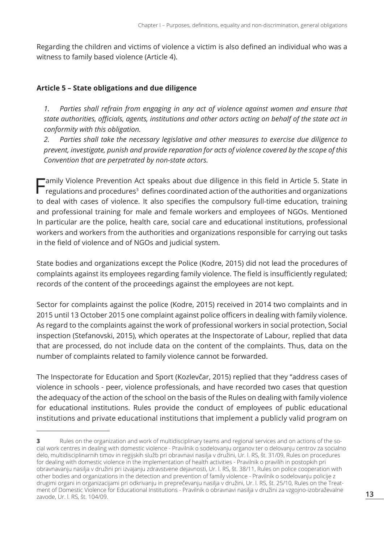Regarding the children and victims of violence a victim is also defined an individual who was a witness to family based violence (Article 4).

#### **Article 5 – State obligations and due diligence**

*1. Parties shall refrain from engaging in any act of violence against women and ensure that state authorities, officials, agents, institutions and other actors acting on behalf of the state act in conformity with this obligation.*

*2. Parties shall take the necessary legislative and other measures to exercise due diligence to prevent, investigate, punish and provide reparation for acts of violence covered by the scope of this Convention that are perpetrated by non-state actors.*

Family Violence Prevention Act speaks about due diligence in this field in Article 5. State in regulations and procedures<sup>3</sup> defines coordinated action of the authorities and organizations to deal with cases of violence. It also specifies the compulsory full-time education, training and professional training for male and female workers and employees of NGOs. Mentioned In particular are the police, health care, social care and educational institutions, professional workers and workers from the authorities and organizations responsible for carrying out tasks in the field of violence and of NGOs and judicial system.

State bodies and organizations except the Police (Kodre, 2015) did not lead the procedures of complaints against its employees regarding family violence. The field is insufficiently regulated; records of the content of the proceedings against the employees are not kept.

Sector for complaints against the police (Kodre, 2015) received in 2014 two complaints and in 2015 until 13 October 2015 one complaint against police officers in dealing with family violence. As regard to the complaints against the work of professional workers in social protection, Social inspection (Stefanovski, 2015), which operates at the Inspectorate of Labour, replied that data that are processed, do not include data on the content of the complaints. Thus, data on the number of complaints related to family violence cannot be forwarded.

The Inspectorate for Education and Sport (Kozlevčar, 2015) replied that they "address cases of violence in schools - peer, violence professionals, and have recorded two cases that question the adequacy of the action of the school on the basis of the Rules on dealing with family violence for educational institutions. Rules provide the conduct of employees of public educational institutions and private educational institutions that implement a publicly valid program on

**<sup>3</sup>** Rules on the organization and work of multidisciplinary teams and regional services and on actions of the social work centres in dealing with domestic violence - Pravilnik o sodelovanju organov ter o delovanju centrov za socialno delo, multidisciplinarnih timov in regijskih služb pri obravnavi nasilja v družini, Ur. l. RS, št. 31/09, Rules on procedures for dealing with domestic violence in the implementation of health activities - Pravilnik o pravilih in postopkih pri obravnavanju nasilja v družini pri izvajanju zdravstvene dejavnosti, Ur. l. RS, št. 38/11, Rules on police cooperation with other bodies and organizations in the detection and prevention of family violence - Pravilnik o sodelovanju policije z drugimi organi in organizacijami pri odkrivanju in preprečevanju nasilja v družini, Ur. l. RS, št. 25/10, Rules on the Treatment of Domestic Violence for Educational Institutions - Pravilnik o obravnavi nasilja v družini za vzgojno-izobraževalne zavode, Ur. l. RS, št. 104/09.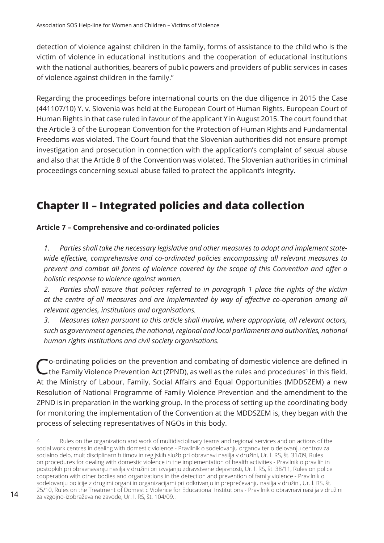detection of violence against children in the family, forms of assistance to the child who is the victim of violence in educational institutions and the cooperation of educational institutions with the national authorities, bearers of public powers and providers of public services in cases of violence against children in the family."

Regarding the proceedings before international courts on the due diligence in 2015 the Case (441107/10) Y. v. Slovenia was held at the European Court of Human Rights. European Court of Human Rights in that case ruled in favour of the applicant Y in August 2015. The court found that the Article 3 of the European Convention for the Protection of Human Rights and Fundamental Freedoms was violated. The Court found that the Slovenian authorities did not ensure prompt investigation and prosecution in connection with the application's complaint of sexual abuse and also that the Article 8 of the Convention was violated. The Slovenian authorities in criminal proceedings concerning sexual abuse failed to protect the applicant's integrity.

# **Chapter II – Integrated policies and data collection**

# **Article 7 – Comprehensive and co-ordinated policies**

*1. Parties shall take the necessary legislative and other measures to adopt and implement statewide effective, comprehensive and co-ordinated policies encompassing all relevant measures to prevent and combat all forms of violence covered by the scope of this Convention and offer a holistic response to violence against women.*

*2. Parties shall ensure that policies referred to in paragraph 1 place the rights of the victim at the centre of all measures and are implemented by way of effective co-operation among all relevant agencies, institutions and organisations.*

*3. Measures taken pursuant to this article shall involve, where appropriate, all relevant actors, such as government agencies, the national, regional and local parliaments and authorities, national human rights institutions and civil society organisations.*

 $\mathbb C$  o-ordinating policies on the prevention and combating of domestic violence are defined in this field.<br>
the Family Violence Prevention Act (ZPND), as well as the rules and procedures<sup>4</sup> in this field. At the Ministry of Labour, Family, Social Affairs and Equal Opportunities (MDDSZEM) a new Resolution of National Programme of Family Violence Prevention and the amendment to the ZPND is in preparation in the working group. In the process of setting up the coordinating body for monitoring the implementation of the Convention at the MDDSZEM is, they began with the process of selecting representatives of NGOs in this body.

Rules on the organization and work of multidisciplinary teams and regional services and on actions of the social work centres in dealing with domestic violence - Pravilnik o sodelovanju organov ter o delovanju centrov za socialno delo, multidisciplinarnih timov in regijskih služb pri obravnavi nasilja v družini, Ur. l. RS, št. 31/09, Rules on procedures for dealing with domestic violence in the implementation of health activities - Pravilnik o pravilih in postopkih pri obravnavanju nasilja v družini pri izvajanju zdravstvene dejavnosti, Ur. l. RS, št. 38/11, Rules on police cooperation with other bodies and organizations in the detection and prevention of family violence - Pravilnik o sodelovanju policije z drugimi organi in organizacijami pri odkrivanju in preprečevanju nasilja v družini, Ur. l. RS, št. 25/10, Rules on the Treatment of Domestic Violence for Educational Institutions - Pravilnik o obravnavi nasilja v družini za vzgojno-izobraževalne zavode, Ur. l. RS, št. 104/09..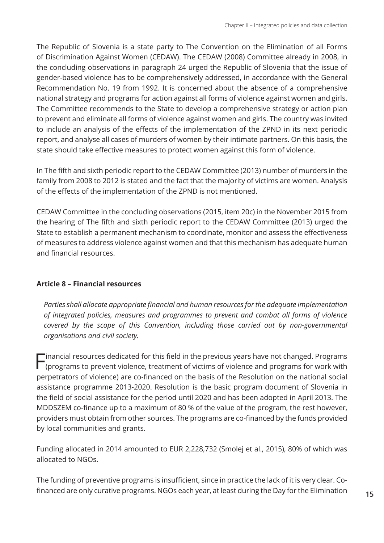The Republic of Slovenia is a state party to The Convention on the Elimination of all Forms of Discrimination Against Women (CEDAW). The CEDAW (2008) Committee already in 2008, in the concluding observations in paragraph 24 urged the Republic of Slovenia that the issue of gender-based violence has to be comprehensively addressed, in accordance with the General Recommendation No. 19 from 1992. It is concerned about the absence of a comprehensive national strategy and programs for action against all forms of violence against women and girls. The Committee recommends to the State to develop a comprehensive strategy or action plan to prevent and eliminate all forms of violence against women and girls. The country was invited to include an analysis of the effects of the implementation of the ZPND in its next periodic report, and analyse all cases of murders of women by their intimate partners. On this basis, the state should take effective measures to protect women against this form of violence.

In The fifth and sixth periodic report to the CEDAW Committee (2013) number of murders in the family from 2008 to 2012 is stated and the fact that the majority of victims are women. Analysis of the effects of the implementation of the ZPND is not mentioned.

CEDAW Committee in the concluding observations (2015, item 20c) in the November 2015 from the hearing of The fifth and sixth periodic report to the CEDAW Committee (2013) urged the State to establish a permanent mechanism to coordinate, monitor and assess the effectiveness of measures to address violence against women and that this mechanism has adequate human and financial resources.

## **Article 8 – Financial resources**

*Parties shall allocate appropriate financial and human resources for the adequate implementation of integrated policies, measures and programmes to prevent and combat all forms of violence covered by the scope of this Convention, including those carried out by non-governmental organisations and civil society.*

Financial resources dedicated for this field in the previous years have not changed. Programs (programs to prevent violence, treatment of victims of violence and programs for work with perpetrators of violence) are co-financed on the basis of the Resolution on the national social assistance programme 2013-2020. Resolution is the basic program document of Slovenia in the field of social assistance for the period until 2020 and has been adopted in April 2013. The MDDSZEM co-finance up to a maximum of 80 % of the value of the program, the rest however, providers must obtain from other sources. The programs are co-financed by the funds provided by local communities and grants.

Funding allocated in 2014 amounted to EUR 2,228,732 (Smolej et al., 2015), 80% of which was allocated to NGOs.

The funding of preventive programs is insufficient, since in practice the lack of it is very clear. Cofinanced are only curative programs. NGOs each year, at least during the Day for the Elimination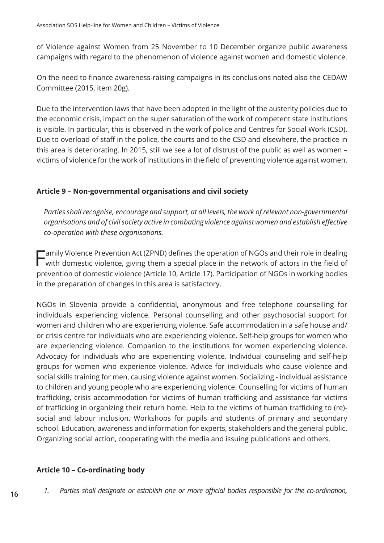of Violence against Women from 25 November to 10 December organize public awareness campaigns with regard to the phenomenon of violence against women and domestic violence.

On the need to finance awareness-raising campaigns in its conclusions noted also the CEDAW Committee (2015, item 20g).

Due to the intervention laws that have been adopted in the light of the austerity policies due to the economic crisis, impact on the super saturation of the work of competent state institutions is visible. In particular, this is observed in the work of police and Centres for Social Work (CSD). Due to overload of staff in the police, the courts and to the CSD and elsewhere, the practice in this area is deteriorating. In 2015, still we see a lot of distrust of the public as well as women – victims of violence for the work of institutions in the field of preventing violence against women.

## **Article 9 – Non-governmental organisations and civil society**

*Parties shall recognise, encourage and support, at all levels, the work of relevant non-governmental organisations and of civil society active in combating violence against women and establish effective co-operation with these organisations.*

Family Violence Prevention Act (ZPND) defines the operation of NGOs and their role in dealing with domestic violence, giving them a special place in the network of actors in the field of prevention of domestic violence (Article 10, Article 17). Participation of NGOs in working bodies in the preparation of changes in this area is satisfactory.

NGOs in Slovenia provide a confidential, anonymous and free telephone counselling for individuals experiencing violence. Personal counselling and other psychosocial support for women and children who are experiencing violence. Safe accommodation in a safe house and/ or crisis centre for individuals who are experiencing violence. Self-help groups for women who are experiencing violence. Companion to the institutions for women experiencing violence. Advocacy for individuals who are experiencing violence. Individual counseling and self-help groups for women who experience violence. Advice for individuals who cause violence and social skills training for men, causing violence against women. Socializing - individual assistance to children and young people who are experiencing violence. Counselling for victims of human trafficking, crisis accommodation for victims of human trafficking and assistance for victims of trafficking in organizing their return home. Help to the victims of human trafficking to (re) social and labour inclusion. Workshops for pupils and students of primary and secondary school. Education, awareness and information for experts, stakeholders and the general public. Organizing social action, cooperating with the media and issuing publications and others.

## **Article 10 – Co-ordinating body**

*1. Parties shall designate or establish one or more official bodies responsible for the co-ordination,*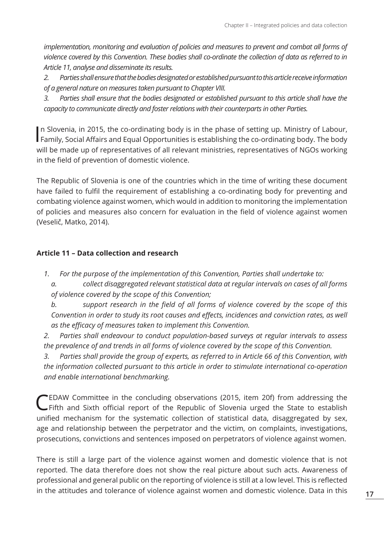*implementation, monitoring and evaluation of policies and measures to prevent and combat all forms of violence covered by this Convention. These bodies shall co-ordinate the collection of data as referred to in Article 11, analyse and disseminate its results.*

*2. Parties shall ensure that the bodies designated or established pursuant to this article receive information of a general nature on measures taken pursuant to Chapter VIII.*

*3. Parties shall ensure that the bodies designated or established pursuant to this article shall have the capacity to communicate directly and foster relations with their counterparts in other Parties.*

In Slovenia, in 2015, the co-ordinating body is in the phase of setting up. Ministry of Labour, Family, Social Affairs and Equal Opportunities is establishing the co-ordinating body. The body n Slovenia, in 2015, the co-ordinating body is in the phase of setting up. Ministry of Labour, will be made up of representatives of all relevant ministries, representatives of NGOs working in the field of prevention of domestic violence.

The Republic of Slovenia is one of the countries which in the time of writing these document have failed to fulfil the requirement of establishing a co-ordinating body for preventing and combating violence against women, which would in addition to monitoring the implementation of policies and measures also concern for evaluation in the field of violence against women (Veselič, Matko, 2014).

## **Article 11 – Data collection and research**

- *1. For the purpose of the implementation of this Convention, Parties shall undertake to:*
	- *a. collect disaggregated relevant statistical data at regular intervals on cases of all forms of violence covered by the scope of this Convention;*
	- *b. support research in the field of all forms of violence covered by the scope of this Convention in order to study its root causes and effects, incidences and conviction rates, as well as the efficacy of measures taken to implement this Convention.*
- *2. Parties shall endeavour to conduct population-based surveys at regular intervals to assess the prevalence of and trends in all forms of violence covered by the scope of this Convention.*

*3. Parties shall provide the group of experts, as referred to in Article 66 of this Convention, with the information collected pursuant to this article in order to stimulate international co-operation and enable international benchmarking.*

CEDAW Committee in the concluding observations (2015, item 20f) from addressing the Fifth and Sixth official report of the Republic of Slovenia urged the State to establish unified mechanism for the systematic collection of statistical data, disaggregated by sex, age and relationship between the perpetrator and the victim, on complaints, investigations, prosecutions, convictions and sentences imposed on perpetrators of violence against women.

There is still a large part of the violence against women and domestic violence that is not reported. The data therefore does not show the real picture about such acts. Awareness of professional and general public on the reporting of violence is still at a low level. This is reflected in the attitudes and tolerance of violence against women and domestic violence. Data in this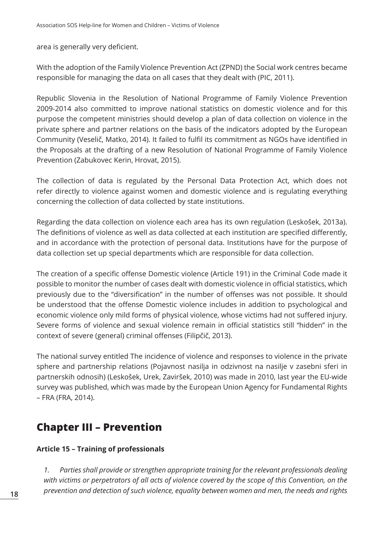area is generally very deficient.

With the adoption of the Family Violence Prevention Act (ZPND) the Social work centres became responsible for managing the data on all cases that they dealt with (PIC, 2011).

Republic Slovenia in the Resolution of National Programme of Family Violence Prevention 2009-2014 also committed to improve national statistics on domestic violence and for this purpose the competent ministries should develop a plan of data collection on violence in the private sphere and partner relations on the basis of the indicators adopted by the European Community (Veselič, Matko, 2014). It failed to fulfil its commitment as NGOs have identified in the Proposals at the drafting of a new Resolution of National Programme of Family Violence Prevention (Zabukovec Kerin, Hrovat, 2015).

The collection of data is regulated by the Personal Data Protection Act, which does not refer directly to violence against women and domestic violence and is regulating everything concerning the collection of data collected by state institutions.

Regarding the data collection on violence each area has its own regulation (Leskošek, 2013a). The definitions of violence as well as data collected at each institution are specified differently, and in accordance with the protection of personal data. Institutions have for the purpose of data collection set up special departments which are responsible for data collection.

The creation of a specific offense Domestic violence (Article 191) in the Criminal Code made it possible to monitor the number of cases dealt with domestic violence in official statistics, which previously due to the "diversification" in the number of offenses was not possible. It should be understood that the offense Domestic violence includes in addition to psychological and economic violence only mild forms of physical violence, whose victims had not suffered injury. Severe forms of violence and sexual violence remain in official statistics still "hidden" in the context of severe (general) criminal offenses (Filipčič, 2013).

The national survey entitled The incidence of violence and responses to violence in the private sphere and partnership relations (Pojavnost nasilja in odzivnost na nasilje v zasebni sferi in partnerskih odnosih) (Leskošek, Urek, Zaviršek, 2010) was made in 2010, last year the EU-wide survey was published, which was made by the European Union Agency for Fundamental Rights – FRA (FRA, 2014).

# **Chapter III – Prevention**

# **Article 15 – Training of professionals**

*1. Parties shall provide or strengthen appropriate training for the relevant professionals dealing with victims or perpetrators of all acts of violence covered by the scope of this Convention, on the prevention and detection of such violence, equality between women and men, the needs and rights*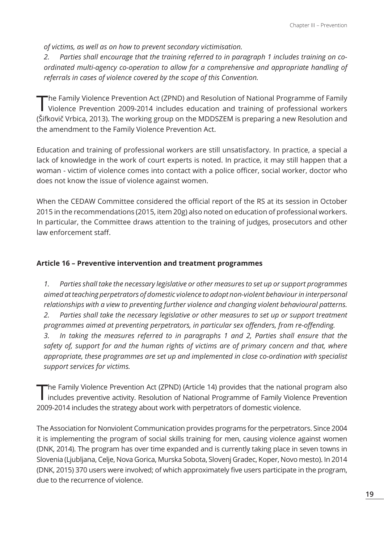*of victims, as well as on how to prevent secondary victimisation.*

*2. Parties shall encourage that the training referred to in paragraph 1 includes training on coordinated multi-agency co-operation to allow for a comprehensive and appropriate handling of referrals in cases of violence covered by the scope of this Convention.*

The Family Violence Prevention Act (ZPND) and Resolution of National Programme of Family Violence Prevention 2009-2014 includes education and training of professional workers (Šifkovič Vrbica, 2013). The working group on the MDDSZEM is preparing a new Resolution and the amendment to the Family Violence Prevention Act.

Education and training of professional workers are still unsatisfactory. In practice, a special a lack of knowledge in the work of court experts is noted. In practice, it may still happen that a woman - victim of violence comes into contact with a police officer, social worker, doctor who does not know the issue of violence against women.

When the CEDAW Committee considered the official report of the RS at its session in October 2015 in the recommendations (2015, item 20g) also noted on education of professional workers. In particular, the Committee draws attention to the training of judges, prosecutors and other law enforcement staff.

#### **Article 16 – Preventive intervention and treatment programmes**

*1. Parties shall take the necessary legislative or other measures to set up or support programmes aimed at teaching perpetrators of domestic violence to adopt non-violent behaviour in interpersonal relationships with a view to preventing further violence and changing violent behavioural patterns. 2. Parties shall take the necessary legislative or other measures to set up or support treatment programmes aimed at preventing perpetrators, in particular sex offenders, from re-offending. 3. In taking the measures referred to in paragraphs 1 and 2, Parties shall ensure that the safety of, support for and the human rights of victims are of primary concern and that, where appropriate, these programmes are set up and implemented in close co-ordination with specialist support services for victims.*

The Family Violence Prevention Act (ZPND) (Article 14) provides that the national program also<br>includes preventive activity. Resolution of National Programme of Family Violence Prevention 2009-2014 includes the strategy about work with perpetrators of domestic violence.

The Association for Nonviolent Communication provides programs for the perpetrators. Since 2004 it is implementing the program of social skills training for men, causing violence against women (DNK, 2014). The program has over time expanded and is currently taking place in seven towns in Slovenia (Ljubljana, Celje, Nova Gorica, Murska Sobota, Slovenj Gradec, Koper, Novo mesto). In 2014 (DNK, 2015) 370 users were involved; of which approximately five users participate in the program, due to the recurrence of violence.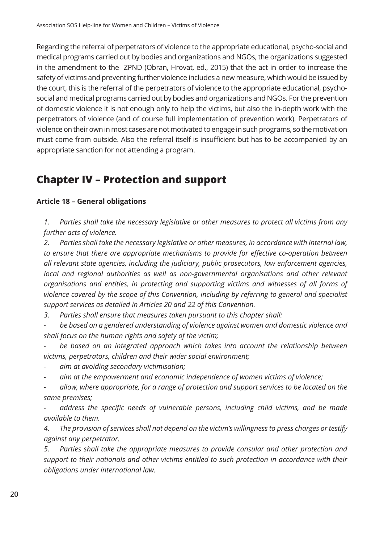Regarding the referral of perpetrators of violence to the appropriate educational, psycho-social and medical programs carried out by bodies and organizations and NGOs, the organizations suggested in the amendment to the ZPND (Obran, Hrovat, ed., 2015) that the act in order to increase the safety of victims and preventing further violence includes a new measure, which would be issued by the court, this is the referral of the perpetrators of violence to the appropriate educational, psychosocial and medical programs carried out by bodies and organizations and NGOs. For the prevention of domestic violence it is not enough only to help the victims, but also the in-depth work with the perpetrators of violence (and of course full implementation of prevention work). Perpetrators of violence on their own in most cases are not motivated to engage in such programs, so the motivation must come from outside. Also the referral itself is insufficient but has to be accompanied by an appropriate sanction for not attending a program.

# **Chapter IV – Protection and support**

## **Article 18 – General obligations**

*1. Parties shall take the necessary legislative or other measures to protect all victims from any further acts of violence.*

*2. Parties shall take the necessary legislative or other measures, in accordance with internal law, to ensure that there are appropriate mechanisms to provide for effective co-operation between all relevant state agencies, including the judiciary, public prosecutors, law enforcement agencies, local and regional authorities as well as non-governmental organisations and other relevant organisations and entities, in protecting and supporting victims and witnesses of all forms of violence covered by the scope of this Convention, including by referring to general and specialist support services as detailed in Articles 20 and 22 of this Convention.*

*3. Parties shall ensure that measures taken pursuant to this chapter shall:*

*- be based on a gendered understanding of violence against women and domestic violence and shall focus on the human rights and safety of the victim;*

*- be based on an integrated approach which takes into account the relationship between victims, perpetrators, children and their wider social environment;*

*- aim at avoiding secondary victimisation;*

*- aim at the empowerment and economic independence of women victims of violence;*

*- allow, where appropriate, for a range of protection and support services to be located on the same premises;*

*- address the specific needs of vulnerable persons, including child victims, and be made available to them.*

*4. The provision of services shall not depend on the victim's willingness to press charges or testify against any perpetrator.*

*5. Parties shall take the appropriate measures to provide consular and other protection and support to their nationals and other victims entitled to such protection in accordance with their obligations under international law.*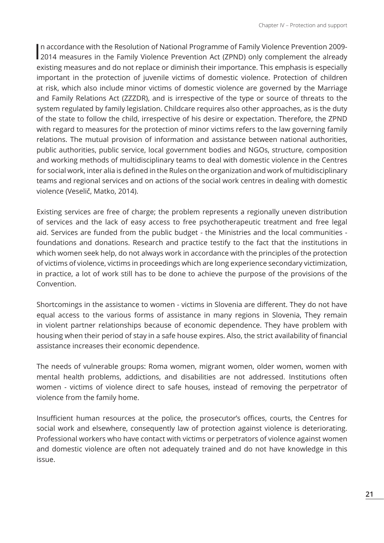In accordance with the Resolution of National Programme of Family Violence Prevention 2009-<br>2014 measures in the Family Violence Prevention Act (ZPND) only complement the already n accordance with the Resolution of National Programme of Family Violence Prevention 2009 existing measures and do not replace or diminish their importance. This emphasis is especially important in the protection of juvenile victims of domestic violence. Protection of children at risk, which also include minor victims of domestic violence are governed by the Marriage and Family Relations Act (ZZZDR), and is irrespective of the type or source of threats to the system regulated by family legislation. Childcare requires also other approaches, as is the duty of the state to follow the child, irrespective of his desire or expectation. Therefore, the ZPND with regard to measures for the protection of minor victims refers to the law governing family relations. The mutual provision of information and assistance between national authorities, public authorities, public service, local government bodies and NGOs, structure, composition and working methods of multidisciplinary teams to deal with domestic violence in the Centres for social work, inter alia is defined in the Rules on the organization and work of multidisciplinary teams and regional services and on actions of the social work centres in dealing with domestic violence (Veselič, Matko, 2014).

Existing services are free of charge; the problem represents a regionally uneven distribution of services and the lack of easy access to free psychotherapeutic treatment and free legal aid. Services are funded from the public budget - the Ministries and the local communities foundations and donations. Research and practice testify to the fact that the institutions in which women seek help, do not always work in accordance with the principles of the protection of victims of violence, victims in proceedings which are long experience secondary victimization, in practice, a lot of work still has to be done to achieve the purpose of the provisions of the Convention.

Shortcomings in the assistance to women - victims in Slovenia are different. They do not have equal access to the various forms of assistance in many regions in Slovenia, They remain in violent partner relationships because of economic dependence. They have problem with housing when their period of stay in a safe house expires. Also, the strict availability of financial assistance increases their economic dependence.

The needs of vulnerable groups: Roma women, migrant women, older women, women with mental health problems, addictions, and disabilities are not addressed. Institutions often women - victims of violence direct to safe houses, instead of removing the perpetrator of violence from the family home.

Insufficient human resources at the police, the prosecutor's offices, courts, the Centres for social work and elsewhere, consequently law of protection against violence is deteriorating. Professional workers who have contact with victims or perpetrators of violence against women and domestic violence are often not adequately trained and do not have knowledge in this issue.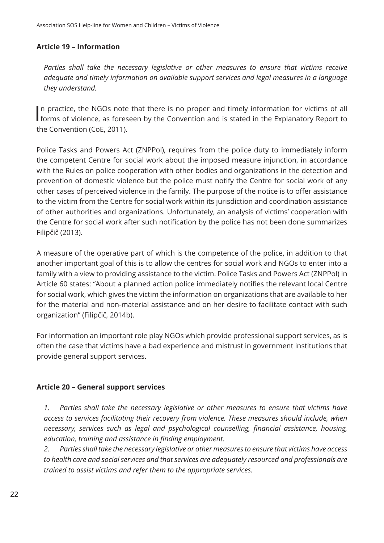#### **Article 19 – Information**

*Parties shall take the necessary legislative or other measures to ensure that victims receive adequate and timely information on available support services and legal measures in a language they understand.*

In practice, the NGOs note that there is no proper and timely information for victims of all forms of violence, as foreseen by the Convention and is stated in the Explanatory Report to n practice, the NGOs note that there is no proper and timely information for victims of all the Convention (CoE, 2011).

Police Tasks and Powers Act (ZNPPol), requires from the police duty to immediately inform the competent Centre for social work about the imposed measure injunction, in accordance with the Rules on police cooperation with other bodies and organizations in the detection and prevention of domestic violence but the police must notify the Centre for social work of any other cases of perceived violence in the family. The purpose of the notice is to offer assistance to the victim from the Centre for social work within its jurisdiction and coordination assistance of other authorities and organizations. Unfortunately, an analysis of victims' cooperation with the Centre for social work after such notification by the police has not been done summarizes Filipčič (2013).

A measure of the operative part of which is the competence of the police, in addition to that another important goal of this is to allow the centres for social work and NGOs to enter into a family with a view to providing assistance to the victim. Police Tasks and Powers Act (ZNPPol) in Article 60 states: "About a planned action police immediately notifies the relevant local Centre for social work, which gives the victim the information on organizations that are available to her for the material and non-material assistance and on her desire to facilitate contact with such organization" (Filipčič, 2014b).

For information an important role play NGOs which provide professional support services, as is often the case that victims have a bad experience and mistrust in government institutions that provide general support services.

#### **Article 20 – General support services**

*1. Parties shall take the necessary legislative or other measures to ensure that victims have access to services facilitating their recovery from violence. These measures should include, when necessary, services such as legal and psychological counselling, financial assistance, housing, education, training and assistance in finding employment.*

*2. Parties shall take the necessary legislative or other measures to ensure that victims have access to health care and social services and that services are adequately resourced and professionals are trained to assist victims and refer them to the appropriate services.*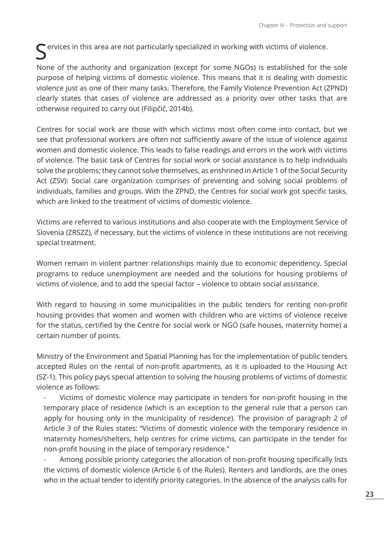$\boldsymbol{\zeta}$  ervices in this area are not particularly specialized in working with victims of violence.

None of the authority and organization (except for some NGOs) is established for the sole purpose of helping victims of domestic violence. This means that it is dealing with domestic violence just as one of their many tasks. Therefore, the Family Violence Prevention Act (ZPND) clearly states that cases of violence are addressed as a priority over other tasks that are otherwise required to carry out (Filipčič, 2014b).

Centres for social work are those with which victims most often come into contact, but we see that professional workers are often not sufficiently aware of the issue of violence against women and domestic violence. This leads to false readings and errors in the work with victims of violence. The basic task of Centres for social work or social assistance is to help individuals solve the problems; they cannot solve themselves, as enshrined in Article 1 of the Social Security Act (ZSV): Social care organization comprises of preventing and solving social problems of individuals, families and groups. With the ZPND, the Centres for social work got specific tasks, which are linked to the treatment of victims of domestic violence.

Victims are referred to various institutions and also cooperate with the Employment Service of Slovenia (ZRSZZ), if necessary, but the victims of violence in these institutions are not receiving special treatment.

Women remain in violent partner relationships mainly due to economic dependency. Special programs to reduce unemployment are needed and the solutions for housing problems of victims of violence, and to add the special factor – violence to obtain social assistance.

With regard to housing in some municipalities in the public tenders for renting non-profit housing provides that women and women with children who are victims of violence receive for the status, certified by the Centre for social work or NGO (safe houses, maternity home) a certain number of points.

Ministry of the Environment and Spatial Planning has for the implementation of public tenders accepted Rules on the rental of non-profit apartments, as it is uploaded to the Housing Act (SZ-1). This policy pays special attention to solving the housing problems of victims of domestic violence as follows:

Victims of domestic violence may participate in tenders for non-profit housing in the temporary place of residence (which is an exception to the general rule that a person can apply for housing only in the municipality of residence). The provision of paragraph 2 of Article 3 of the Rules states: "Victims of domestic violence with the temporary residence in maternity homes/shelters, help centres for crime victims, can participate in the tender for non-profit housing in the place of temporary residence."

Among possible priority categories the allocation of non-profit housing specifically lists the victims of domestic violence (Article 6 of the Rules). Renters and landlords, are the ones who in the actual tender to identify priority categories. In the absence of the analysis calls for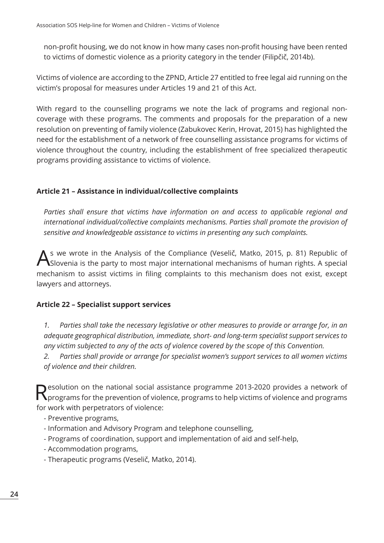non-profit housing, we do not know in how many cases non-profit housing have been rented to victims of domestic violence as a priority category in the tender (Filipčič, 2014b).

Victims of violence are according to the ZPND, Article 27 entitled to free legal aid running on the victim's proposal for measures under Articles 19 and 21 of this Act.

With regard to the counselling programs we note the lack of programs and regional noncoverage with these programs. The comments and proposals for the preparation of a new resolution on preventing of family violence (Zabukovec Kerin, Hrovat, 2015) has highlighted the need for the establishment of a network of free counselling assistance programs for victims of violence throughout the country, including the establishment of free specialized therapeutic programs providing assistance to victims of violence.

# **Article 21 – Assistance in individual/collective complaints**

*Parties shall ensure that victims have information on and access to applicable regional and international individual/collective complaints mechanisms. Parties shall promote the provision of sensitive and knowledgeable assistance to victims in presenting any such complaints.*

As we wrote in the Analysis of the Compliance (Veselič, Matko, 2015, p. 81) Republic of Slovenia is the party to most major international mechanisms of human rights. A special mechanism to assist victims in filing complaints to this mechanism does not exist, except lawyers and attorneys.

## **Article 22 – Specialist support services**

*1. Parties shall take the necessary legislative or other measures to provide or arrange for, in an adequate geographical distribution, immediate, short- and long-term specialist support services to any victim subjected to any of the acts of violence covered by the scope of this Convention.*

*2. Parties shall provide or arrange for specialist women's support services to all women victims of violence and their children.*

Resolution on the national social assistance programme 2013-2020 provides a network of **N** programs for the prevention of violence, programs to help victims of violence and programs for work with perpetrators of violence:

- Preventive programs,
- Information and Advisory Program and telephone counselling,
- Programs of coordination, support and implementation of aid and self-help,
- Accommodation programs,
- Therapeutic programs (Veselič, Matko, 2014).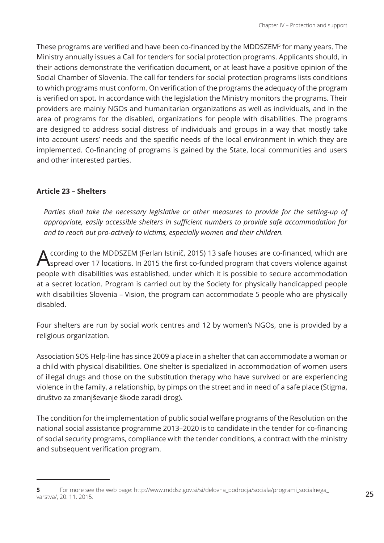These programs are verified and have been co-financed by the MDDSZEM<sup>5</sup> for many years. The Ministry annually issues a Call for tenders for social protection programs. Applicants should, in their actions demonstrate the verification document, or at least have a positive opinion of the Social Chamber of Slovenia. The call for tenders for social protection programs lists conditions to which programs must conform. On verification of the programs the adequacy of the program is verified on spot. In accordance with the legislation the Ministry monitors the programs. Their providers are mainly NGOs and humanitarian organizations as well as individuals, and in the area of programs for the disabled, organizations for people with disabilities. The programs are designed to address social distress of individuals and groups in a way that mostly take into account users' needs and the specific needs of the local environment in which they are implemented. Co-financing of programs is gained by the State, local communities and users and other interested parties.

#### **Article 23 – Shelters**

*Parties shall take the necessary legislative or other measures to provide for the setting-up of appropriate, easily accessible shelters in sufficient numbers to provide safe accommodation for and to reach out pro-actively to victims, especially women and their children.*

A ccording to the MDDSZEM (Ferlan Istinič, 2015) 13 safe houses are co-financed, which are<br>Spread over 17 locations. In 2015 the first co-funded program that covers violence against people with disabilities was established, under which it is possible to secure accommodation at a secret location. Program is carried out by the Society for physically handicapped people with disabilities Slovenia – Vision, the program can accommodate 5 people who are physically disabled.

Four shelters are run by social work centres and 12 by women's NGOs, one is provided by a religious organization.

Association SOS Help-line has since 2009 a place in a shelter that can accommodate a woman or a child with physical disabilities. One shelter is specialized in accommodation of women users of illegal drugs and those on the substitution therapy who have survived or are experiencing violence in the family, a relationship, by pimps on the street and in need of a safe place (Stigma, društvo za zmanjševanje škode zaradi drog).

The condition for the implementation of public social welfare programs of the Resolution on the national social assistance programme 2013–2020 is to candidate in the tender for co-financing of social security programs, compliance with the tender conditions, a contract with the ministry and subsequent verification program.

**<sup>5</sup>** For more see the web page: http://www.mddsz.gov.si/si/delovna\_podrocja/sociala/programi\_socialnega\_ varstva/, 20. 11. 2015.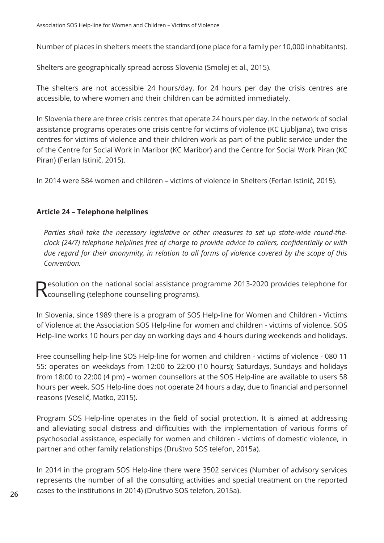Number of places in shelters meets the standard (one place for a family per 10,000 inhabitants).

Shelters are geographically spread across Slovenia (Smolej et al., 2015).

The shelters are not accessible 24 hours/day, for 24 hours per day the crisis centres are accessible, to where women and their children can be admitted immediately.

In Slovenia there are three crisis centres that operate 24 hours per day. In the network of social assistance programs operates one crisis centre for victims of violence (KC Ljubljana), two crisis centres for victims of violence and their children work as part of the public service under the of the Centre for Social Work in Maribor (KC Maribor) and the Centre for Social Work Piran (KC Piran) (Ferlan Istinič, 2015).

In 2014 were 584 women and children – victims of violence in Shelters (Ferlan Istinič, 2015).

## **Article 24 – Telephone helplines**

*Parties shall take the necessary legislative or other measures to set up state-wide round-theclock (24/7) telephone helplines free of charge to provide advice to callers, confidentially or with due regard for their anonymity, in relation to all forms of violence covered by the scope of this Convention.*

Resolution on the national social assistance programme 2013-2020 provides telephone for<br>Resoluting (telephone counselling programs).

In Slovenia, since 1989 there is a program of SOS Help-line for Women and Children - Victims of Violence at the Association SOS Help-line for women and children - victims of violence. SOS Help-line works 10 hours per day on working days and 4 hours during weekends and holidays.

Free counselling help-line SOS Help-line for women and children - victims of violence - 080 11 55: operates on weekdays from 12:00 to 22:00 (10 hours); Saturdays, Sundays and holidays from 18:00 to 22:00 (4 pm) – women counsellors at the SOS Help-line are available to users 58 hours per week. SOS Help-line does not operate 24 hours a day, due to financial and personnel reasons (Veselič, Matko, 2015).

Program SOS Help-line operates in the field of social protection. It is aimed at addressing and alleviating social distress and difficulties with the implementation of various forms of psychosocial assistance, especially for women and children - victims of domestic violence, in partner and other family relationships (Društvo SOS telefon, 2015a).

In 2014 in the program SOS Help-line there were 3502 services (Number of advisory services represents the number of all the consulting activities and special treatment on the reported cases to the institutions in 2014) (Društvo SOS telefon, 2015a).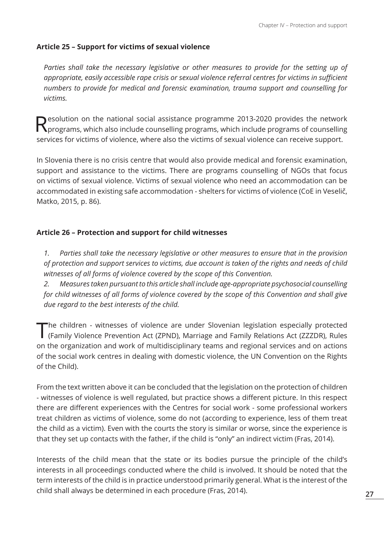# **Article 25 – Support for victims of sexual violence**

Parties shall take the necessary legislative or other measures to provide for the setting up of *appropriate, easily accessible rape crisis or sexual violence referral centres for victims in sufficient numbers to provide for medical and forensic examination, trauma support and counselling for victims.*

 $\bigcap$  esolution on the national social assistance programme 2013-2020 provides the network **N** programs, which also include counselling programs, which include programs of counselling services for victims of violence, where also the victims of sexual violence can receive support.

In Slovenia there is no crisis centre that would also provide medical and forensic examination, support and assistance to the victims. There are programs counselling of NGOs that focus on victims of sexual violence. Victims of sexual violence who need an accommodation can be accommodated in existing safe accommodation - shelters for victims of violence (CoE in Veselič, Matko, 2015, p. 86).

#### **Article 26 – Protection and support for child witnesses**

*1. Parties shall take the necessary legislative or other measures to ensure that in the provision of protection and support services to victims, due account is taken of the rights and needs of child witnesses of all forms of violence covered by the scope of this Convention.*

*2. Measures taken pursuant to this article shall include age-appropriate psychosocial counselling for child witnesses of all forms of violence covered by the scope of this Convention and shall give due regard to the best interests of the child.*

The children - witnesses of violence are under Slovenian legislation especially protected<br>(Family Violence Prevention Act (ZPND), Marriage and Family Relations Act (ZZZDR), Rules on the organization and work of multidisciplinary teams and regional services and on actions of the social work centres in dealing with domestic violence, the UN Convention on the Rights of the Child).

From the text written above it can be concluded that the legislation on the protection of children - witnesses of violence is well regulated, but practice shows a different picture. In this respect there are different experiences with the Centres for social work - some professional workers treat children as victims of violence, some do not (according to experience, less of them treat the child as a victim). Even with the courts the story is similar or worse, since the experience is that they set up contacts with the father, if the child is "only" an indirect victim (Fras, 2014).

Interests of the child mean that the state or its bodies pursue the principle of the child's interests in all proceedings conducted where the child is involved. It should be noted that the term interests of the child is in practice understood primarily general. What is the interest of the child shall always be determined in each procedure (Fras, 2014).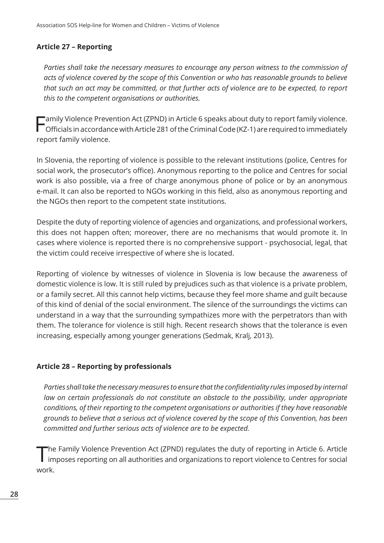### **Article 27 – Reporting**

*Parties shall take the necessary measures to encourage any person witness to the commission of acts of violence covered by the scope of this Convention or who has reasonable grounds to believe that such an act may be committed, or that further acts of violence are to be expected, to report this to the competent organisations or authorities.*

Family Violence Prevention Act (ZPND) in Article 6 speaks about duty to report family violence. Officials in accordance with Article 281 of the Criminal Code (KZ-1) are required to immediately report family violence.

In Slovenia, the reporting of violence is possible to the relevant institutions (police, Centres for social work, the prosecutor's office). Anonymous reporting to the police and Centres for social work is also possible, via a free of charge anonymous phone of police or by an anonymous e-mail. It can also be reported to NGOs working in this field, also as anonymous reporting and the NGOs then report to the competent state institutions.

Despite the duty of reporting violence of agencies and organizations, and professional workers, this does not happen often; moreover, there are no mechanisms that would promote it. In cases where violence is reported there is no comprehensive support - psychosocial, legal, that the victim could receive irrespective of where she is located.

Reporting of violence by witnesses of violence in Slovenia is low because the awareness of domestic violence is low. It is still ruled by prejudices such as that violence is a private problem, or a family secret. All this cannot help victims, because they feel more shame and guilt because of this kind of denial of the social environment. The silence of the surroundings the victims can understand in a way that the surrounding sympathizes more with the perpetrators than with them. The tolerance for violence is still high. Recent research shows that the tolerance is even increasing, especially among younger generations (Sedmak, Kralj, 2013).

#### **Article 28 – Reporting by professionals**

*Parties shall take the necessary measures to ensure that the confidentiality rules imposed by internal*  law on certain professionals do not constitute an obstacle to the possibility, under appropriate *conditions, of their reporting to the competent organisations or authorities if they have reasonable grounds to believe that a serious act of violence covered by the scope of this Convention, has been committed and further serious acts of violence are to be expected.*

The Family Violence Prevention Act (ZPND) regulates the duty of reporting in Article 6. Article<br>imposes reporting on all authorities and organizations to report violence to Centres for social work.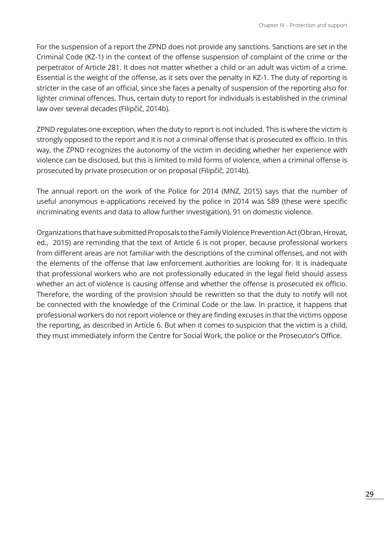For the suspension of a report the ZPND does not provide any sanctions. Sanctions are set in the Criminal Code (KZ-1) in the context of the offense suspension of complaint of the crime or the perpetrator of Article 281. It does not matter whether a child or an adult was victim of a crime. Essential is the weight of the offense, as it sets over the penalty in KZ-1. The duty of reporting is stricter in the case of an official, since she faces a penalty of suspension of the reporting also for lighter criminal offences. Thus, certain duty to report for individuals is established in the criminal law over several decades (Filipčič, 2014b).

ZPND regulates one exception, when the duty to report is not included. This is where the victim is strongly opposed to the report and it is not a criminal offense that is prosecuted ex officio. In this way, the ZPND recognizes the autonomy of the victim in deciding whether her experience with violence can be disclosed, but this is limited to mild forms of violence, when a criminal offense is prosecuted by private prosecution or on proposal (Filipčič, 2014b).

The annual report on the work of the Police for 2014 (MNZ, 2015) says that the number of useful anonymous e-applications received by the police in 2014 was 589 (these were specific incriminating events and data to allow further investigation), 91 on domestic violence.

Organizations that have submitted Proposals to the Family Violence Prevention Act (Obran, Hrovat, ed., 2015) are reminding that the text of Article 6 is not proper, because professional workers from different areas are not familiar with the descriptions of the criminal offenses, and not with the elements of the offense that law enforcement authorities are looking for. It is inadequate that professional workers who are not professionally educated in the legal field should assess whether an act of violence is causing offense and whether the offense is prosecuted ex officio. Therefore, the wording of the provision should be rewritten so that the duty to notify will not be connected with the knowledge of the Criminal Code or the law. In practice, it happens that professional workers do not report violence or they are finding excuses in that the victims oppose the reporting, as described in Article 6. But when it comes to suspicion that the victim is a child, they must immediately inform the Centre for Social Work, the police or the Prosecutor's Office.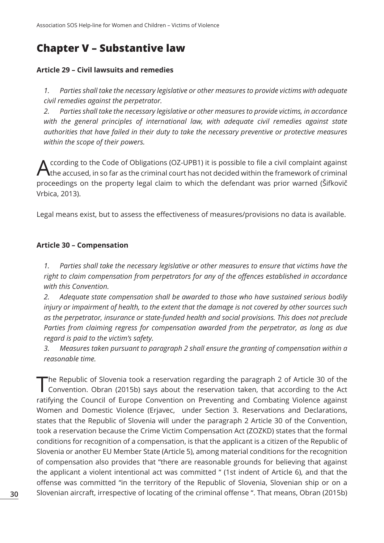# **Chapter V – Substantive law**

#### **Article 29 – Civil lawsuits and remedies**

*1. Parties shall take the necessary legislative or other measures to provide victims with adequate civil remedies against the perpetrator.*

*2. Parties shall take the necessary legislative or other measures to provide victims, in accordance with the general principles of international law, with adequate civil remedies against state authorities that have failed in their duty to take the necessary preventive or protective measures within the scope of their powers.*

A ccording to the Code of Obligations (OZ-UPB1) it is possible to file a civil complaint against<br>
the accused, in so far as the criminal court has not decided within the framework of criminal proceedings on the property legal claim to which the defendant was prior warned (Šifkovič Vrbica, 2013).

Legal means exist, but to assess the effectiveness of measures/provisions no data is available.

#### **Article 30 – Compensation**

*1. Parties shall take the necessary legislative or other measures to ensure that victims have the right to claim compensation from perpetrators for any of the offences established in accordance with this Convention.*

*2. Adequate state compensation shall be awarded to those who have sustained serious bodily injury or impairment of health, to the extent that the damage is not covered by other sources such as the perpetrator, insurance or state-funded health and social provisions. This does not preclude Parties from claiming regress for compensation awarded from the perpetrator, as long as due regard is paid to the victim's safety.*

*3. Measures taken pursuant to paragraph 2 shall ensure the granting of compensation within a reasonable time.*

The Republic of Slovenia took a reservation regarding the paragraph 2 of Article 30 of the Convention. Obran (2015b) says about the reservation taken, that according to the Act ratifying the Council of Europe Convention on Preventing and Combating Violence against Women and Domestic Violence (Erjavec, under Section 3. Reservations and Declarations, states that the Republic of Slovenia will under the paragraph 2 Article 30 of the Convention, took a reservation because the Crime Victim Compensation Act (ZOZKD) states that the formal conditions for recognition of a compensation, is that the applicant is a citizen of the Republic of Slovenia or another EU Member State (Article 5), among material conditions for the recognition of compensation also provides that "there are reasonable grounds for believing that against the applicant a violent intentional act was committed " (1st indent of Article 6), and that the offense was committed "in the territory of the Republic of Slovenia, Slovenian ship or on a Slovenian aircraft, irrespective of locating of the criminal offense ". That means, Obran (2015b)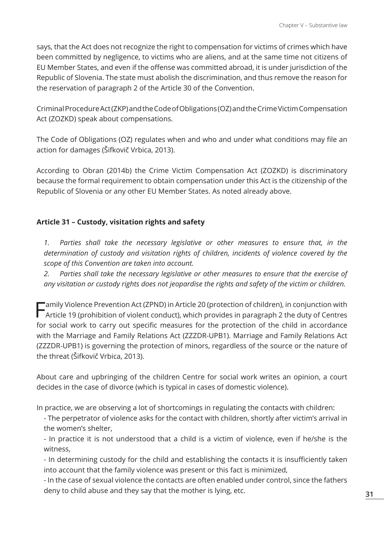says, that the Act does not recognize the right to compensation for victims of crimes which have been committed by negligence, to victims who are aliens, and at the same time not citizens of EU Member States, and even if the offense was committed abroad, it is under jurisdiction of the Republic of Slovenia. The state must abolish the discrimination, and thus remove the reason for the reservation of paragraph 2 of the Article 30 of the Convention.

Criminal Procedure Act (ZKP) and the Code of Obligations (OZ) and the Crime Victim Compensation Act (ZOZKD) speak about compensations.

The Code of Obligations (OZ) regulates when and who and under what conditions may file an action for damages (Šifkovič Vrbica, 2013).

According to Obran (2014b) the Crime Victim Compensation Act (ZOZKD) is discriminatory because the formal requirement to obtain compensation under this Act is the citizenship of the Republic of Slovenia or any other EU Member States. As noted already above.

# **Article 31 – Custody, visitation rights and safety**

*1. Parties shall take the necessary legislative or other measures to ensure that, in the determination of custody and visitation rights of children, incidents of violence covered by the scope of this Convention are taken into account.*

*2. Parties shall take the necessary legislative or other measures to ensure that the exercise of any visitation or custody rights does not jeopardise the rights and safety of the victim or children.*

Family Violence Prevention Act (ZPND) in Article 20 (protection of children), in conjunction with Article 19 (prohibition of violent conduct), which provides in paragraph 2 the duty of Centres for social work to carry out specific measures for the protection of the child in accordance with the Marriage and Family Relations Act (ZZZDR-UPB1). Marriage and Family Relations Act (ZZZDR-UPB1) is governing the protection of minors, regardless of the source or the nature of the threat (Šifkovič Vrbica, 2013).

About care and upbringing of the children Centre for social work writes an opinion, a court decides in the case of divorce (which is typical in cases of domestic violence).

In practice, we are observing a lot of shortcomings in regulating the contacts with children:

- The perpetrator of violence asks for the contact with children, shortly after victim's arrival in the women's shelter,

- In practice it is not understood that a child is a victim of violence, even if he/she is the witness,

- In determining custody for the child and establishing the contacts it is insufficiently taken into account that the family violence was present or this fact is minimized,

- In the case of sexual violence the contacts are often enabled under control, since the fathers deny to child abuse and they say that the mother is lying, etc.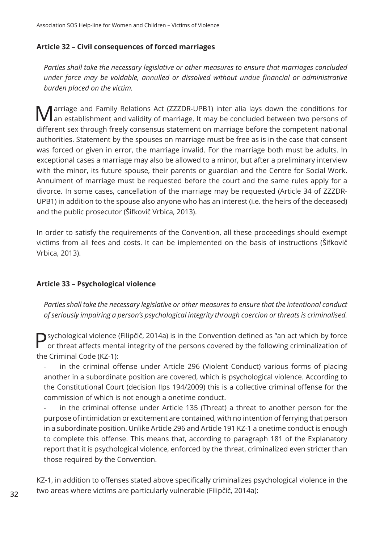#### **Article 32 – Civil consequences of forced marriages**

*Parties shall take the necessary legislative or other measures to ensure that marriages concluded under force may be voidable, annulled or dissolved without undue financial or administrative burden placed on the victim.*

Marriage and Family Relations Act (ZZZDR-UPB1) inter alia lays down the conditions for an establishment and validity of marriage. It may be concluded between two persons of different sex through freely consensus statement on marriage before the competent national authorities. Statement by the spouses on marriage must be free as is in the case that consent was forced or given in error, the marriage invalid. For the marriage both must be adults. In exceptional cases a marriage may also be allowed to a minor, but after a preliminary interview with the minor, its future spouse, their parents or guardian and the Centre for Social Work. Annulment of marriage must be requested before the court and the same rules apply for a divorce. In some cases, cancellation of the marriage may be requested (Article 34 of ZZZDR-UPB1) in addition to the spouse also anyone who has an interest (i.e. the heirs of the deceased) and the public prosecutor (Šifkovič Vrbica, 2013).

In order to satisfy the requirements of the Convention, all these proceedings should exempt victims from all fees and costs. It can be implemented on the basis of instructions (Šifkovič Vrbica, 2013).

#### **Article 33 – Psychological violence**

*Parties shall take the necessary legislative or other measures to ensure that the intentional conduct of seriously impairing a person's psychological integrity through coercion or threats is criminalised.*

Sychological violence (Filipčič, 2014a) is in the Convention defined as "an act which by force or threat affects mental integrity of the persons covered by the following criminalization of the Criminal Code (KZ-1):

in the criminal offense under Article 296 (Violent Conduct) various forms of placing another in a subordinate position are covered, which is psychological violence. According to the Constitutional Court (decision IIps 194/2009) this is a collective criminal offense for the commission of which is not enough a onetime conduct.

in the criminal offense under Article 135 (Threat) a threat to another person for the purpose of intimidation or excitement are contained, with no intention of ferrying that person in a subordinate position. Unlike Article 296 and Article 191 KZ-1 a onetime conduct is enough to complete this offense. This means that, according to paragraph 181 of the Explanatory report that it is psychological violence, enforced by the threat, criminalized even stricter than those required by the Convention.

KZ-1, in addition to offenses stated above specifically criminalizes psychological violence in the two areas where victims are particularly vulnerable (Filipčič, 2014a):

**32**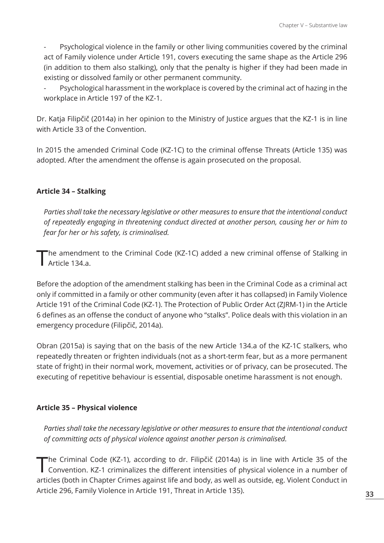Psychological violence in the family or other living communities covered by the criminal act of Family violence under Article 191, covers executing the same shape as the Article 296 (in addition to them also stalking), only that the penalty is higher if they had been made in existing or dissolved family or other permanent community.

Psychological harassment in the workplace is covered by the criminal act of hazing in the workplace in Article 197 of the KZ-1.

Dr. Katja Filipčič (2014a) in her opinion to the Ministry of Justice argues that the KZ-1 is in line with Article 33 of the Convention.

In 2015 the amended Criminal Code (KZ-1C) to the criminal offense Threats (Article 135) was adopted. After the amendment the offense is again prosecuted on the proposal.

#### **Article 34 – Stalking**

*Parties shall take the necessary legislative or other measures to ensure that the intentional conduct of repeatedly engaging in threatening conduct directed at another person, causing her or him to fear for her or his safety, is criminalised.*

The amendment to the Criminal Code (KZ-1C) added a new criminal offense of Stalking in Article 134.a.

Before the adoption of the amendment stalking has been in the Criminal Code as a criminal act only if committed in a family or other community (even after it has collapsed) in Family Violence Article 191 of the Criminal Code (KZ-1). The Protection of Public Order Act (ZJRM-1) in the Article 6 defines as an offense the conduct of anyone who "stalks". Police deals with this violation in an emergency procedure (Filipčič, 2014a).

Obran (2015a) is saying that on the basis of the new Article 134.a of the KZ-1C stalkers, who repeatedly threaten or frighten individuals (not as a short-term fear, but as a more permanent state of fright) in their normal work, movement, activities or of privacy, can be prosecuted. The executing of repetitive behaviour is essential, disposable onetime harassment is not enough.

## **Article 35 – Physical violence**

*Parties shall take the necessary legislative or other measures to ensure that the intentional conduct of committing acts of physical violence against another person is criminalised.*

The Criminal Code (KZ-1), according to dr. Filipčič (2014a) is in line with Article 35 of the Convention. KZ-1 criminalizes the different intensities of physical violence in a number of articles (both in Chapter Crimes against life and body, as well as outside, eg. Violent Conduct in Article 296, Family Violence in Article 191, Threat in Article 135).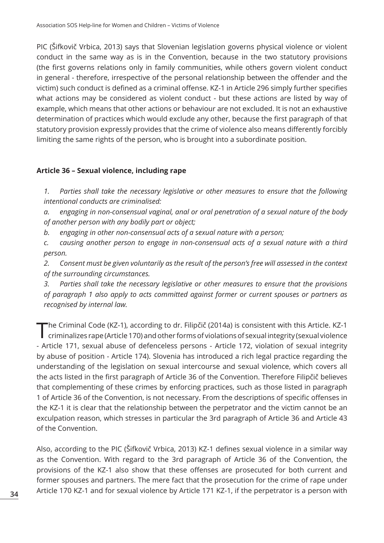PIC (Šifkovič Vrbica, 2013) says that Slovenian legislation governs physical violence or violent conduct in the same way as is in the Convention, because in the two statutory provisions (the first governs relations only in family communities, while others govern violent conduct in general - therefore, irrespective of the personal relationship between the offender and the victim) such conduct is defined as a criminal offense. KZ-1 in Article 296 simply further specifies what actions may be considered as violent conduct - but these actions are listed by way of example, which means that other actions or behaviour are not excluded. It is not an exhaustive determination of practices which would exclude any other, because the first paragraph of that statutory provision expressly provides that the crime of violence also means differently forcibly limiting the same rights of the person, who is brought into a subordinate position.

## **Article 36 – Sexual violence, including rape**

*1. Parties shall take the necessary legislative or other measures to ensure that the following intentional conducts are criminalised:*

*a. engaging in non-consensual vaginal, anal or oral penetration of a sexual nature of the body of another person with any bodily part or object;*

*b. engaging in other non-consensual acts of a sexual nature with a person;*

*c. causing another person to engage in non-consensual acts of a sexual nature with a third person.*

*2. Consent must be given voluntarily as the result of the person's free will assessed in the context of the surrounding circumstances.*

*3. Parties shall take the necessary legislative or other measures to ensure that the provisions of paragraph 1 also apply to acts committed against former or current spouses or partners as recognised by internal law.*

The Criminal Code (KZ-1), according to dr. Filipčič (2014a) is consistent with this Article. KZ-1<br>criminalizes rape (Article 170) and other forms of violations of sexual integrity (sexual violence - Article 171, sexual abuse of defenceless persons - Article 172, violation of sexual integrity by abuse of position - Article 174). Slovenia has introduced a rich legal practice regarding the understanding of the legislation on sexual intercourse and sexual violence, which covers all the acts listed in the first paragraph of Article 36 of the Convention. Therefore Filipčič believes that complementing of these crimes by enforcing practices, such as those listed in paragraph 1 of Article 36 of the Convention, is not necessary. From the descriptions of specific offenses in the KZ-1 it is clear that the relationship between the perpetrator and the victim cannot be an exculpation reason, which stresses in particular the 3rd paragraph of Article 36 and Article 43 of the Convention.

Also, according to the PIC (Šifkovič Vrbica, 2013) KZ-1 defines sexual violence in a similar way as the Convention. With regard to the 3rd paragraph of Article 36 of the Convention, the provisions of the KZ-1 also show that these offenses are prosecuted for both current and former spouses and partners. The mere fact that the prosecution for the crime of rape under Article 170 KZ-1 and for sexual violence by Article 171 KZ-1, if the perpetrator is a person with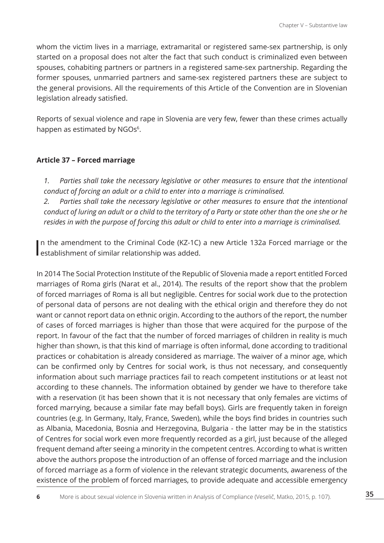whom the victim lives in a marriage, extramarital or registered same-sex partnership, is only started on a proposal does not alter the fact that such conduct is criminalized even between spouses, cohabiting partners or partners in a registered same-sex partnership. Regarding the former spouses, unmarried partners and same-sex registered partners these are subject to the general provisions. All the requirements of this Article of the Convention are in Slovenian legislation already satisfied.

Reports of sexual violence and rape in Slovenia are very few, fewer than these crimes actually happen as estimated by NGOs<sup>6</sup>.

#### **Article 37 – Forced marriage**

*1. Parties shall take the necessary legislative or other measures to ensure that the intentional conduct of forcing an adult or a child to enter into a marriage is criminalised.*

*2. Parties shall take the necessary legislative or other measures to ensure that the intentional conduct of luring an adult or a child to the territory of a Party or state other than the one she or he resides in with the purpose of forcing this adult or child to enter into a marriage is criminalised.*

In the amendment to the Criminal Code (KZ-1C)<br>establishment of similar relationship was added. n the amendment to the Criminal Code (KZ-1C) a new Article 132a Forced marriage or the

In 2014 The Social Protection Institute of the Republic of Slovenia made a report entitled Forced marriages of Roma girls (Narat et al., 2014). The results of the report show that the problem of forced marriages of Roma is all but negligible. Centres for social work due to the protection of personal data of persons are not dealing with the ethical origin and therefore they do not want or cannot report data on ethnic origin. According to the authors of the report, the number of cases of forced marriages is higher than those that were acquired for the purpose of the report. In favour of the fact that the number of forced marriages of children in reality is much higher than shown, is that this kind of marriage is often informal, done according to traditional practices or cohabitation is already considered as marriage. The waiver of a minor age, which can be confirmed only by Centres for social work, is thus not necessary, and consequently information about such marriage practices fail to reach competent institutions or at least not according to these channels. The information obtained by gender we have to therefore take with a reservation (it has been shown that it is not necessary that only females are victims of forced marrying, because a similar fate may befall boys). Girls are frequently taken in foreign countries (e.g. In Germany, Italy, France, Sweden), while the boys find brides in countries such as Albania, Macedonia, Bosnia and Herzegovina, Bulgaria - the latter may be in the statistics of Centres for social work even more frequently recorded as a girl, just because of the alleged frequent demand after seeing a minority in the competent centres. According to what is written above the authors propose the introduction of an offense of forced marriage and the inclusion of forced marriage as a form of violence in the relevant strategic documents, awareness of the existence of the problem of forced marriages, to provide adequate and accessible emergency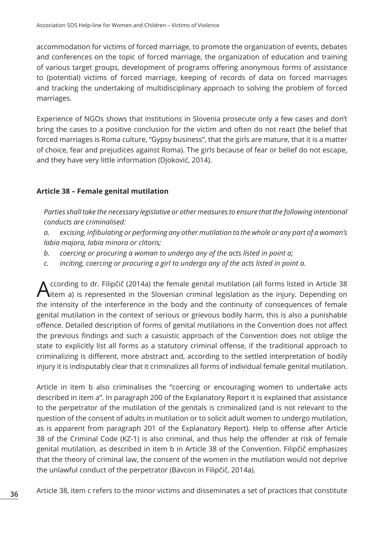accommodation for victims of forced marriage, to promote the organization of events, debates and conferences on the topic of forced marriage, the organization of education and training of various target groups, development of programs offering anonymous forms of assistance to (potential) victims of forced marriage, keeping of records of data on forced marriages and tracking the undertaking of multidisciplinary approach to solving the problem of forced marriages.

Experience of NGOs shows that institutions in Slovenia prosecute only a few cases and don't bring the cases to a positive conclusion for the victim and often do not react (the belief that forced marriages is Roma culture, "Gypsy business", that the girls are mature, that it is a matter of choice, fear and prejudices against Roma). The girls because of fear or belief do not escape, and they have very little information (Djoković, 2014).

# **Article 38 – Female genital mutilation**

*Parties shall take the necessary legislative or other measures to ensure that the following intentional conducts are criminalised:*

*a. excising, infibulating or performing any other mutilation to the whole or any part of a woman's labia majora, labia minora or clitoris;*

- *b. coercing or procuring a woman to undergo any of the acts listed in point a;*
- *c. inciting, coercing or procuring a girl to undergo any of the acts listed in point a.*

ccording to dr. Filipčič (2014a) the female genital mutilation (all forms listed in Article 38 litem a) is represented in the Slovenian criminal legislation as the injury. Depending on the intensity of the interference in the body and the continuity of consequences of female genital mutilation in the context of serious or grievous bodily harm, this is also a punishable offence. Detailed description of forms of genital mutilations in the Convention does not affect the previous findings and such a casuistic approach of the Convention does not oblige the state to explicitly list all forms as a statutory criminal offense, if the traditional approach to criminalizing is different, more abstract and, according to the settled interpretation of bodily injury it is indisputably clear that it criminalizes all forms of individual female genital mutilation.

Article in item b also criminalises the "coercing or encouraging women to undertake acts described in item a". In paragraph 200 of the Explanatory Report it is explained that assistance to the perpetrator of the mutilation of the genitals is criminalized (and is not relevant to the question of the consent of adults in mutilation or to solicit adult women to undergo mutilation, as is apparent from paragraph 201 of the Explanatory Report). Help to offense after Article 38 of the Criminal Code (KZ-1) is also criminal, and thus help the offender at risk of female genital mutilation, as described in item b in Article 38 of the Convention. Filipčič emphasizes that the theory of criminal law, the consent of the women in the mutilation would not deprive the unlawful conduct of the perpetrator (Bavcon in Filipčič, 2014a).

Article 38, item c refers to the minor victims and disseminates a set of practices that constitute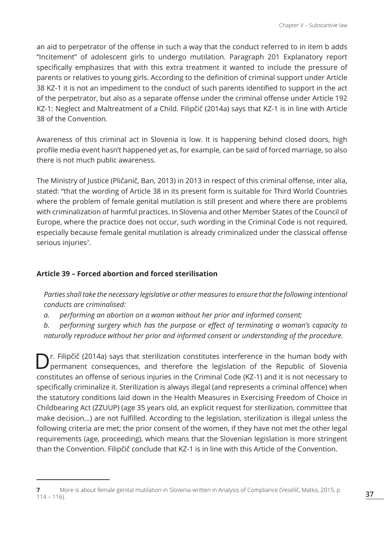an aid to perpetrator of the offense in such a way that the conduct referred to in item b adds "Incitement" of adolescent girls to undergo mutilation. Paragraph 201 Explanatory report specifically emphasizes that with this extra treatment it wanted to include the pressure of parents or relatives to young girls. According to the definition of criminal support under Article 38 KZ-1 it is not an impediment to the conduct of such parents identified to support in the act of the perpetrator, but also as a separate offense under the criminal offense under Article 192 KZ-1: Neglect and Maltreatment of a Child. Filipčič (2014a) says that KZ-1 is in line with Article 38 of the Convention.

Awareness of this criminal act in Slovenia is low. It is happening behind closed doors, high profile media event hasn't happened yet as, for example, can be said of forced marriage, so also there is not much public awareness.

The Ministry of Justice (Pličanič, Ban, 2013) in 2013 in respect of this criminal offense, inter alia, stated: "that the wording of Article 38 in its present form is suitable for Third World Countries where the problem of female genital mutilation is still present and where there are problems with criminalization of harmful practices. In Slovenia and other Member States of the Council of Europe, where the practice does not occur, such wording in the Criminal Code is not required, especially because female genital mutilation is already criminalized under the classical offense serious injuries<sup>7</sup>.

## **Article 39 – Forced abortion and forced sterilisation**

*Parties shall take the necessary legislative or other measures to ensure that the following intentional conducts are criminalised:*

*a. performing an abortion on a woman without her prior and informed consent;*

*b. performing surgery which has the purpose or effect of terminating a woman's capacity to naturally reproduce without her prior and informed consent or understanding of the procedure.*

D<sup>r.</sup> Filipčič (2014a) says that sterilization constitutes interference in the human body with permanent consequences, and therefore the legislation of the Republic of Slovenia constitutes an offense of serious injuries in the Criminal Code (KZ-1) and it is not necessary to specifically criminalize it. Sterilization is always illegal (and represents a criminal offence) when the statutory conditions laid down in the Health Measures in Exercising Freedom of Choice in Childbearing Act (ZZUUP) (age 35 years old, an explicit request for sterilization, committee that make decision...) are not fulfilled. According to the legislation, sterilization is illegal unless the following criteria are met; the prior consent of the women, if they have not met the other legal requirements (age, proceeding), which means that the Slovenian legislation is more stringent than the Convention. Filipčič conclude that KZ-1 is in line with this Article of the Convention.

**<sup>7</sup>** More is about female genital mutilation in Slovenia written in Analysis of Compliance (Veselič, Matko, 2015, p.  $114 - 116$ ).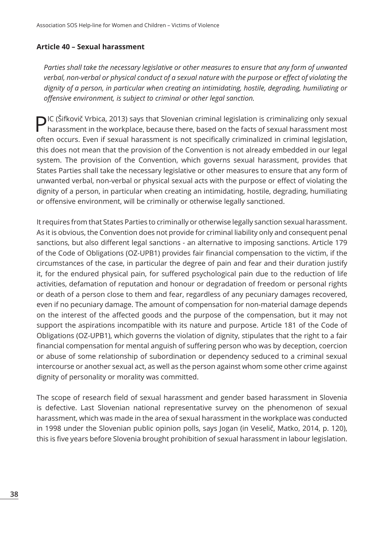### **Article 40 – Sexual harassment**

*Parties shall take the necessary legislative or other measures to ensure that any form of unwanted verbal, non-verbal or physical conduct of a sexual nature with the purpose or effect of violating the dignity of a person, in particular when creating an intimidating, hostile, degrading, humiliating or offensive environment, is subject to criminal or other legal sanction.*

**DIC (Šifkovič Vrbica, 2013) says that Slovenian criminal legislation is criminalizing only sexual** harassment in the workplace, because there, based on the facts of sexual harassment most often occurs. Even if sexual harassment is not specifically criminalized in criminal legislation, this does not mean that the provision of the Convention is not already embedded in our legal system. The provision of the Convention, which governs sexual harassment, provides that States Parties shall take the necessary legislative or other measures to ensure that any form of unwanted verbal, non-verbal or physical sexual acts with the purpose or effect of violating the dignity of a person, in particular when creating an intimidating, hostile, degrading, humiliating or offensive environment, will be criminally or otherwise legally sanctioned.

It requires from that States Parties to criminally or otherwise legally sanction sexual harassment. As it is obvious, the Convention does not provide for criminal liability only and consequent penal sanctions, but also different legal sanctions - an alternative to imposing sanctions. Article 179 of the Code of Obligations (OZ-UPB1) provides fair financial compensation to the victim, if the circumstances of the case, in particular the degree of pain and fear and their duration justify it, for the endured physical pain, for suffered psychological pain due to the reduction of life activities, defamation of reputation and honour or degradation of freedom or personal rights or death of a person close to them and fear, regardless of any pecuniary damages recovered, even if no pecuniary damage. The amount of compensation for non-material damage depends on the interest of the affected goods and the purpose of the compensation, but it may not support the aspirations incompatible with its nature and purpose. Article 181 of the Code of Obligations (OZ-UPB1), which governs the violation of dignity, stipulates that the right to a fair financial compensation for mental anguish of suffering person who was by deception, coercion or abuse of some relationship of subordination or dependency seduced to a criminal sexual intercourse or another sexual act, as well as the person against whom some other crime against dignity of personality or morality was committed.

The scope of research field of sexual harassment and gender based harassment in Slovenia is defective. Last Slovenian national representative survey on the phenomenon of sexual harassment, which was made in the area of sexual harassment in the workplace was conducted in 1998 under the Slovenian public opinion polls, says Jogan (in Veselič, Matko, 2014, p. 120), this is five years before Slovenia brought prohibition of sexual harassment in labour legislation.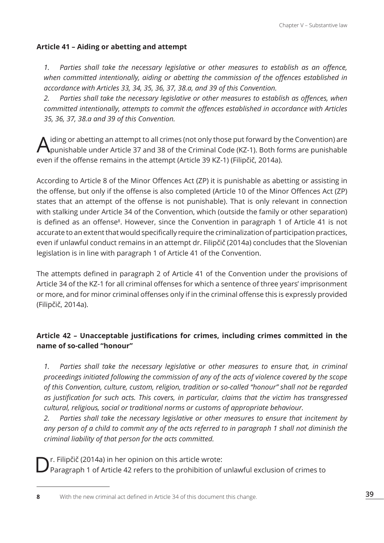# **Article 41 – Aiding or abetting and attempt**

*1. Parties shall take the necessary legislative or other measures to establish as an offence, when committed intentionally, aiding or abetting the commission of the offences established in accordance with Articles 33, 34, 35, 36, 37, 38.a, and 39 of this Convention.*

*2. Parties shall take the necessary legislative or other measures to establish as offences, when committed intentionally, attempts to commit the offences established in accordance with Articles 35, 36, 37, 38.a and 39 of this Convention.*

A iding or abetting an attempt to all crimes (not only those put forward by the Convention) are<br>punishable under Article 37 and 38 of the Criminal Code (KZ-1). Both forms are punishable even if the offense remains in the attempt (Article 39 KZ-1) (Filipčič, 2014a).

According to Article 8 of the Minor Offences Act (ZP) it is punishable as abetting or assisting in the offense, but only if the offense is also completed (Article 10 of the Minor Offences Act (ZP) states that an attempt of the offense is not punishable). That is only relevant in connection with stalking under Article 34 of the Convention, which (outside the family or other separation) is defined as an offense<sup>8</sup>. However, since the Convention in paragraph 1 of Article 41 is not accurate to an extent that would specifically require the criminalization of participation practices, even if unlawful conduct remains in an attempt dr. Filipčič (2014a) concludes that the Slovenian legislation is in line with paragraph 1 of Article 41 of the Convention.

The attempts defined in paragraph 2 of Article 41 of the Convention under the provisions of Article 34 of the KZ-1 for all criminal offenses for which a sentence of three years' imprisonment or more, and for minor criminal offenses only if in the criminal offense this is expressly provided (Filipčič, 2014a).

# **Article 42 – Unacceptable justifications for crimes, including crimes committed in the name of so-called "honour"**

*1. Parties shall take the necessary legislative or other measures to ensure that, in criminal proceedings initiated following the commission of any of the acts of violence covered by the scope of this Convention, culture, custom, religion, tradition or so-called "honour" shall not be regarded as justification for such acts. This covers, in particular, claims that the victim has transgressed cultural, religious, social or traditional norms or customs of appropriate behaviour.*

*2. Parties shall take the necessary legislative or other measures to ensure that incitement by any person of a child to commit any of the acts referred to in paragraph 1 shall not diminish the criminal liability of that person for the acts committed.*

Dr. Filipčič (2014a) in her opinion on this article wrote: Paragraph 1 of Article 42 refers to the prohibition of unlawful exclusion of crimes to

**<sup>8</sup>** With the new criminal act defined in Article 34 of this document this change.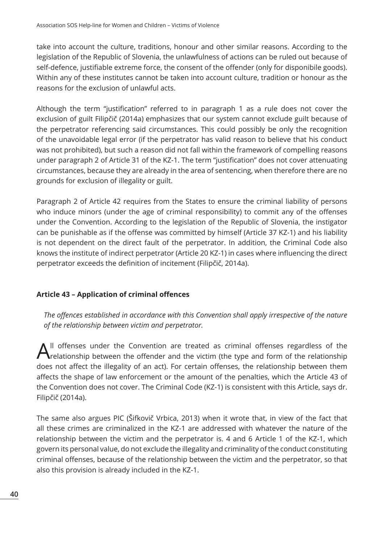take into account the culture, traditions, honour and other similar reasons. According to the legislation of the Republic of Slovenia, the unlawfulness of actions can be ruled out because of self-defence, justifiable extreme force, the consent of the offender (only for disponibile goods). Within any of these institutes cannot be taken into account culture, tradition or honour as the reasons for the exclusion of unlawful acts.

Although the term "justification" referred to in paragraph 1 as a rule does not cover the exclusion of guilt Filipčič (2014a) emphasizes that our system cannot exclude guilt because of the perpetrator referencing said circumstances. This could possibly be only the recognition of the unavoidable legal error (if the perpetrator has valid reason to believe that his conduct was not prohibited), but such a reason did not fall within the framework of compelling reasons under paragraph 2 of Article 31 of the KZ-1. The term "justification" does not cover attenuating circumstances, because they are already in the area of sentencing, when therefore there are no grounds for exclusion of illegality or guilt.

Paragraph 2 of Article 42 requires from the States to ensure the criminal liability of persons who induce minors (under the age of criminal responsibility) to commit any of the offenses under the Convention. According to the legislation of the Republic of Slovenia, the instigator can be punishable as if the offense was committed by himself (Article 37 KZ-1) and his liability is not dependent on the direct fault of the perpetrator. In addition, the Criminal Code also knows the institute of indirect perpetrator (Article 20 KZ-1) in cases where influencing the direct perpetrator exceeds the definition of incitement (Filipčič, 2014a).

## **Article 43 – Application of criminal offences**

*The offences established in accordance with this Convention shall apply irrespective of the nature of the relationship between victim and perpetrator.*

 $\bigwedge$ <sup>II</sup> offenses under the Convention are treated as criminal offenses regardless of the relationship between the offender and the victim (the type and form of the relationship does not affect the illegality of an act). For certain offenses, the relationship between them affects the shape of law enforcement or the amount of the penalties, which the Article 43 of the Convention does not cover. The Criminal Code (KZ-1) is consistent with this Article, says dr. Filipčič (2014a).

The same also argues PIC (Šifkovič Vrbica, 2013) when it wrote that, in view of the fact that all these crimes are criminalized in the KZ-1 are addressed with whatever the nature of the relationship between the victim and the perpetrator is. 4 and 6 Article 1 of the KZ-1, which govern its personal value, do not exclude the illegality and criminality of the conduct constituting criminal offenses, because of the relationship between the victim and the perpetrator, so that also this provision is already included in the KZ-1.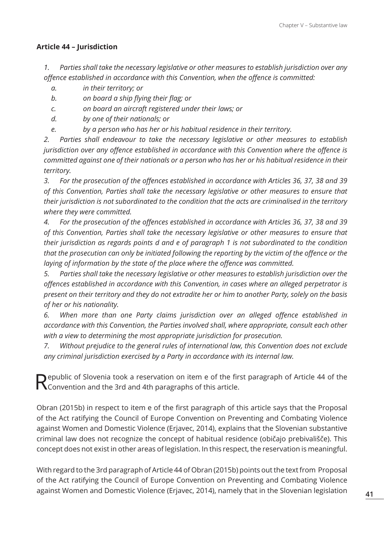# **Article 44 – Jurisdiction**

*1. Parties shall take the necessary legislative or other measures to establish jurisdiction over any offence established in accordance with this Convention, when the offence is committed:*

- *a. in their territory; or*
- *b. on board a ship flying their flag; or*
- *c. on board an aircraft registered under their laws; or*
- *d. by one of their nationals; or*
- *e. by a person who has her or his habitual residence in their territory.*

*2. Parties shall endeavour to take the necessary legislative or other measures to establish jurisdiction over any offence established in accordance with this Convention where the offence is committed against one of their nationals or a person who has her or his habitual residence in their territory.*

*3. For the prosecution of the offences established in accordance with Articles 36, 37, 38 and 39 of this Convention, Parties shall take the necessary legislative or other measures to ensure that their jurisdiction is not subordinated to the condition that the acts are criminalised in the territory where they were committed.*

*4. For the prosecution of the offences established in accordance with Articles 36, 37, 38 and 39 of this Convention, Parties shall take the necessary legislative or other measures to ensure that their jurisdiction as regards points d and e of paragraph 1 is not subordinated to the condition that the prosecution can only be initiated following the reporting by the victim of the offence or the laying of information by the state of the place where the offence was committed.*

*5. Parties shall take the necessary legislative or other measures to establish jurisdiction over the offences established in accordance with this Convention, in cases where an alleged perpetrator is present on their territory and they do not extradite her or him to another Party, solely on the basis of her or his nationality.*

*6. When more than one Party claims jurisdiction over an alleged offence established in accordance with this Convention, the Parties involved shall, where appropriate, consult each other with a view to determining the most appropriate jurisdiction for prosecution.*

*7. Without prejudice to the general rules of international law, this Convention does not exclude any criminal jurisdiction exercised by a Party in accordance with its internal law.*

Pepublic of Slovenia took a reservation on item e of the first paragraph of Article 44 of the  $\mathbf N$  Convention and the 3rd and 4th paragraphs of this article.

Obran (2015b) in respect to item e of the first paragraph of this article says that the Proposal of the Act ratifying the Council of Europe Convention on Preventing and Combating Violence against Women and Domestic Violence (Erjavec, 2014), explains that the Slovenian substantive criminal law does not recognize the concept of habitual residence (običajo prebivališče). This concept does not exist in other areas of legislation. In this respect, the reservation is meaningful.

With regard to the 3rd paragraph of Article 44 of Obran (2015b) points out the text from Proposal of the Act ratifying the Council of Europe Convention on Preventing and Combating Violence against Women and Domestic Violence (Erjavec, 2014), namely that in the Slovenian legislation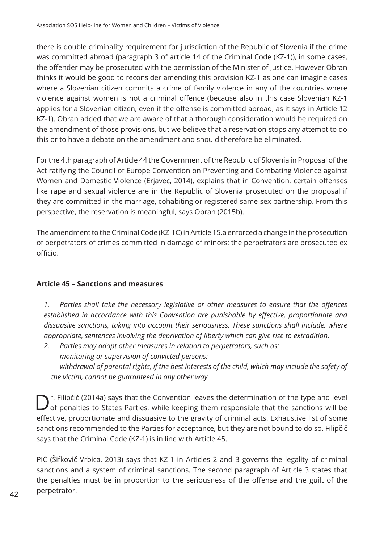there is double criminality requirement for jurisdiction of the Republic of Slovenia if the crime was committed abroad (paragraph 3 of article 14 of the Criminal Code (KZ-1)), in some cases, the offender may be prosecuted with the permission of the Minister of Justice. However Obran thinks it would be good to reconsider amending this provision KZ-1 as one can imagine cases where a Slovenian citizen commits a crime of family violence in any of the countries where violence against women is not a criminal offence (because also in this case Slovenian KZ-1 applies for a Slovenian citizen, even if the offense is committed abroad, as it says in Article 12 KZ-1). Obran added that we are aware of that a thorough consideration would be required on the amendment of those provisions, but we believe that a reservation stops any attempt to do this or to have a debate on the amendment and should therefore be eliminated.

For the 4th paragraph of Article 44 the Government of the Republic of Slovenia in Proposal of the Act ratifying the Council of Europe Convention on Preventing and Combating Violence against Women and Domestic Violence (Erjavec, 2014), explains that in Convention, certain offenses like rape and sexual violence are in the Republic of Slovenia prosecuted on the proposal if they are committed in the marriage, cohabiting or registered same-sex partnership. From this perspective, the reservation is meaningful, says Obran (2015b).

The amendment to the Criminal Code (KZ-1C) in Article 15.a enforced a change in the prosecution of perpetrators of crimes committed in damage of minors; the perpetrators are prosecuted ex officio.

## **Article 45 – Sanctions and measures**

*1. Parties shall take the necessary legislative or other measures to ensure that the offences established in accordance with this Convention are punishable by effective, proportionate and dissuasive sanctions, taking into account their seriousness. These sanctions shall include, where appropriate, sentences involving the deprivation of liberty which can give rise to extradition.*

- *2. Parties may adopt other measures in relation to perpetrators, such as:*
	- *- monitoring or supervision of convicted persons;*
	- *- withdrawal of parental rights, if the best interests of the child, which may include the safety of the victim, cannot be guaranteed in any other way.*

D<sup>r.</sup> Filipčič (2014a) says that the Convention leaves the determination of the type and level of penalties to States Parties, while keeping them responsible that the sanctions will be effective, proportionate and dissuasive to the gravity of criminal acts. Exhaustive list of some sanctions recommended to the Parties for acceptance, but they are not bound to do so. Filipčič says that the Criminal Code (KZ-1) is in line with Article 45.

PIC (Šifkovič Vrbica, 2013) says that KZ-1 in Articles 2 and 3 governs the legality of criminal sanctions and a system of criminal sanctions. The second paragraph of Article 3 states that the penalties must be in proportion to the seriousness of the offense and the guilt of the perpetrator.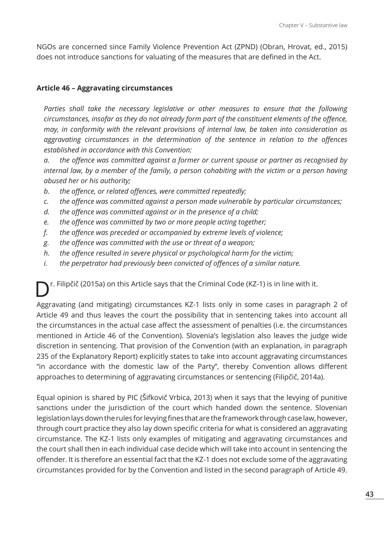NGOs are concerned since Family Violence Prevention Act (ZPND) (Obran, Hrovat, ed., 2015) does not introduce sanctions for valuating of the measures that are defined in the Act.

#### **Article 46 – Aggravating circumstances**

Parties shall take the necessary legislative or other measures to ensure that the following *circumstances, insofar as they do not already form part of the constituent elements of the offence, may, in conformity with the relevant provisions of internal law, be taken into consideration as aggravating circumstances in the determination of the sentence in relation to the offences established in accordance with this Convention:*

*a. the offence was committed against a former or current spouse or partner as recognised by internal law, by a member of the family, a person cohabiting with the victim or a person having abused her or his authority;*

- *b. the offence, or related offences, were committed repeatedly;*
- *c. the offence was committed against a person made vulnerable by particular circumstances;*
- *d. the offence was committed against or in the presence of a child;*
- *e. the offence was committed by two or more people acting together;*
- *f. the offence was preceded or accompanied by extreme levels of violence;*
- *g. the offence was committed with the use or threat of a weapon;*
- *h. the offence resulted in severe physical or psychological harm for the victim;*
- *i. the perpetrator had previously been convicted of offences of a similar nature.*

 $r.$  Filipčič (2015a) on this Article says that the Criminal Code (KZ-1) is in line with it.

Aggravating (and mitigating) circumstances KZ-1 lists only in some cases in paragraph 2 of Article 49 and thus leaves the court the possibility that in sentencing takes into account all the circumstances in the actual case affect the assessment of penalties (i.e. the circumstances mentioned in Article 46 of the Convention). Slovenia's legislation also leaves the judge wide discretion in sentencing. That provision of the Convention (with an explanation, in paragraph 235 of the Explanatory Report) explicitly states to take into account aggravating circumstances "in accordance with the domestic law of the Party", thereby Convention allows different approaches to determining of aggravating circumstances or sentencing (Filipčič, 2014a).

Equal opinion is shared by PIC (Šifkovič Vrbica, 2013) when it says that the levying of punitive sanctions under the jurisdiction of the court which handed down the sentence. Slovenian legislation lays down the rules for levying fines that are the framework through case law, however, through court practice they also lay down specific criteria for what is considered an aggravating circumstance. The KZ-1 lists only examples of mitigating and aggravating circumstances and the court shall then in each individual case decide which will take into account in sentencing the offender. It is therefore an essential fact that the KZ-1 does not exclude some of the aggravating circumstances provided for by the Convention and listed in the second paragraph of Article 49.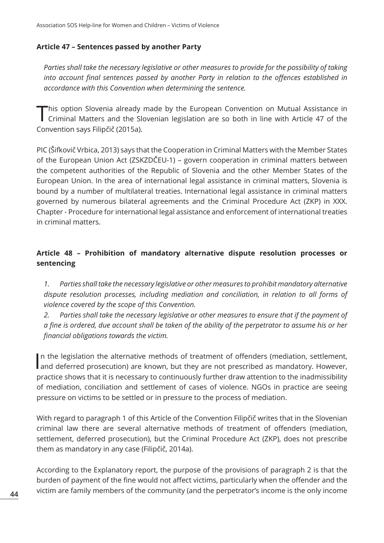#### **Article 47 – Sentences passed by another Party**

*Parties shall take the necessary legislative or other measures to provide for the possibility of taking into account final sentences passed by another Party in relation to the offences established in accordance with this Convention when determining the sentence.*

This option Slovenia already made by the European Convention on Mutual Assistance in<br>Criminal Matters and the Slovenian legislation are so both in line with Article 47 of the Convention says Filipčič (2015a).

PIC (Šifkovič Vrbica, 2013) says that the Cooperation in Criminal Matters with the Member States of the European Union Act (ZSKZDČEU-1) – govern cooperation in criminal matters between the competent authorities of the Republic of Slovenia and the other Member States of the European Union. In the area of international legal assistance in criminal matters, Slovenia is bound by a number of multilateral treaties. International legal assistance in criminal matters governed by numerous bilateral agreements and the Criminal Procedure Act (ZKP) in XXX. Chapter - Procedure for international legal assistance and enforcement of international treaties in criminal matters.

# **Article 48 – Prohibition of mandatory alternative dispute resolution processes or sentencing**

*1. Parties shall take the necessary legislative or other measures to prohibit mandatory alternative dispute resolution processes, including mediation and conciliation, in relation to all forms of violence covered by the scope of this Convention.*

*2. Parties shall take the necessary legislative or other measures to ensure that if the payment of a fine is ordered, due account shall be taken of the ability of the perpetrator to assume his or her financial obligations towards the victim.*

In the legislation the alternative methods of treatment of offenders (mediation, settlement, and deferred prosecution) are known, but they are not prescribed as mandatory. However, In the legislation the alternative methods of treatment of offenders (mediation, settlement, practice shows that it is necessary to continuously further draw attention to the inadmissibility of mediation, conciliation and settlement of cases of violence. NGOs in practice are seeing pressure on victims to be settled or in pressure to the process of mediation.

With regard to paragraph 1 of this Article of the Convention Filipčič writes that in the Slovenian criminal law there are several alternative methods of treatment of offenders (mediation, settlement, deferred prosecution), but the Criminal Procedure Act (ZKP), does not prescribe them as mandatory in any case (Filipčič, 2014a).

According to the Explanatory report, the purpose of the provisions of paragraph 2 is that the burden of payment of the fine would not affect victims, particularly when the offender and the victim are family members of the community (and the perpetrator's income is the only income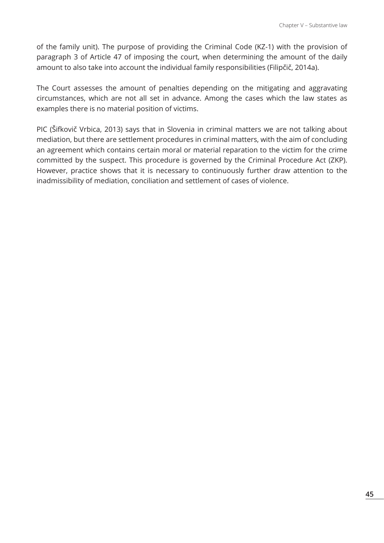of the family unit). The purpose of providing the Criminal Code (KZ-1) with the provision of paragraph 3 of Article 47 of imposing the court, when determining the amount of the daily amount to also take into account the individual family responsibilities (Filipčič, 2014a).

The Court assesses the amount of penalties depending on the mitigating and aggravating circumstances, which are not all set in advance. Among the cases which the law states as examples there is no material position of victims.

PIC (Šifkovič Vrbica, 2013) says that in Slovenia in criminal matters we are not talking about mediation, but there are settlement procedures in criminal matters, with the aim of concluding an agreement which contains certain moral or material reparation to the victim for the crime committed by the suspect. This procedure is governed by the Criminal Procedure Act (ZKP). However, practice shows that it is necessary to continuously further draw attention to the inadmissibility of mediation, conciliation and settlement of cases of violence.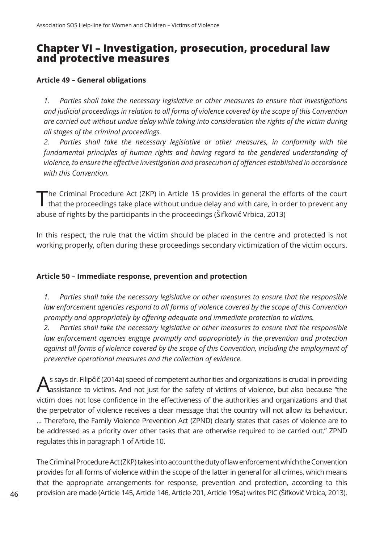# **Chapter VI – Investigation, prosecution, procedural law and protective measures**

#### **Article 49 – General obligations**

*1. Parties shall take the necessary legislative or other measures to ensure that investigations and judicial proceedings in relation to all forms of violence covered by the scope of this Convention are carried out without undue delay while taking into consideration the rights of the victim during all stages of the criminal proceedings.*

*2. Parties shall take the necessary legislative or other measures, in conformity with the fundamental principles of human rights and having regard to the gendered understanding of violence, to ensure the effective investigation and prosecution of offences established in accordance with this Convention.*

The Criminal Procedure Act (ZKP) in Article 15 provides in general the efforts of the court that the proceedings take place without undue delay and with care, in order to prevent any abuse of rights by the participants in the proceedings (Šifkovič Vrbica, 2013)

In this respect, the rule that the victim should be placed in the centre and protected is not working properly, often during these proceedings secondary victimization of the victim occurs.

#### **Article 50 – Immediate response, prevention and protection**

*1. Parties shall take the necessary legislative or other measures to ensure that the responsible*  law enforcement agencies respond to all forms of violence covered by the scope of this Convention *promptly and appropriately by offering adequate and immediate protection to victims.*

*2. Parties shall take the necessary legislative or other measures to ensure that the responsible*  law enforcement agencies engage promptly and appropriately in the prevention and protection *against all forms of violence covered by the scope of this Convention, including the employment of preventive operational measures and the collection of evidence.*

As says dr. Filipčič (2014a) speed of competent authorities and organizations is crucial in providing<br>Assistance to victims. And not just for the safety of victims of violence, but also because "the victim does not lose confidence in the effectiveness of the authorities and organizations and that the perpetrator of violence receives a clear message that the country will not allow its behaviour. ... Therefore, the Family Violence Prevention Act (ZPND) clearly states that cases of violence are to be addressed as a priority over other tasks that are otherwise required to be carried out." ZPND regulates this in paragraph 1 of Article 10.

The Criminal Procedure Act (ZKP) takes into account the duty of law enforcement which the Convention provides for all forms of violence within the scope of the latter in general for all crimes, which means that the appropriate arrangements for response, prevention and protection, according to this provision are made (Article 145, Article 146, Article 201, Article 195a) writes PIC (Šifkovič Vrbica, 2013).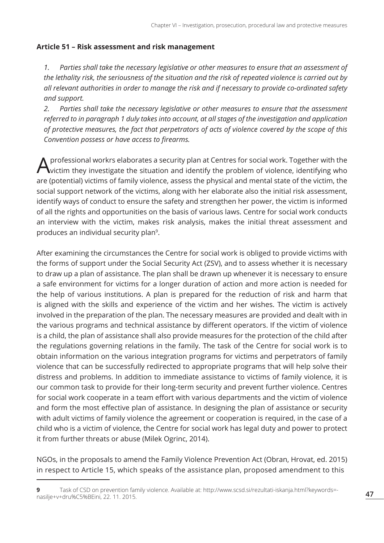## **Article 51 – Risk assessment and risk management**

*1. Parties shall take the necessary legislative or other measures to ensure that an assessment of the lethality risk, the seriousness of the situation and the risk of repeated violence is carried out by all relevant authorities in order to manage the risk and if necessary to provide co-ordinated safety and support.*

*2. Parties shall take the necessary legislative or other measures to ensure that the assessment referred to in paragraph 1 duly takes into account, at all stages of the investigation and application of protective measures, the fact that perpetrators of acts of violence covered by the scope of this Convention possess or have access to firearms.*

professional workrs elaborates a security plan at Centres for social work. Together with the victim they investigate the situation and identify the problem of violence, identifying who are (potential) victims of family violence, assess the physical and mental state of the victim, the social support network of the victims, along with her elaborate also the initial risk assessment, identify ways of conduct to ensure the safety and strengthen her power, the victim is informed of all the rights and opportunities on the basis of various laws. Centre for social work conducts an interview with the victim, makes risk analysis, makes the initial threat assessment and produces an individual security plan<sup>9</sup>.

After examining the circumstances the Centre for social work is obliged to provide victims with the forms of support under the Social Security Act (ZSV), and to assess whether it is necessary to draw up a plan of assistance. The plan shall be drawn up whenever it is necessary to ensure a safe environment for victims for a longer duration of action and more action is needed for the help of various institutions. A plan is prepared for the reduction of risk and harm that is aligned with the skills and experience of the victim and her wishes. The victim is actively involved in the preparation of the plan. The necessary measures are provided and dealt with in the various programs and technical assistance by different operators. If the victim of violence is a child, the plan of assistance shall also provide measures for the protection of the child after the regulations governing relations in the family. The task of the Centre for social work is to obtain information on the various integration programs for victims and perpetrators of family violence that can be successfully redirected to appropriate programs that will help solve their distress and problems. In addition to immediate assistance to victims of family violence, it is our common task to provide for their long-term security and prevent further violence. Centres for social work cooperate in a team effort with various departments and the victim of violence and form the most effective plan of assistance. In designing the plan of assistance or security with adult victims of family violence the agreement or cooperation is required, in the case of a child who is a victim of violence, the Centre for social work has legal duty and power to protect it from further threats or abuse (Milek Ogrinc, 2014).

NGOs, in the proposals to amend the Family Violence Prevention Act (Obran, Hrovat, ed. 2015) in respect to Article 15, which speaks of the assistance plan, proposed amendment to this

**<sup>9</sup>** Task of CSD on prevention family violence. Available at: http://www.scsd.si/rezultati-iskanja.html?keywords= nasilje+v+dru%C5%BEini, 22. 11. 2015.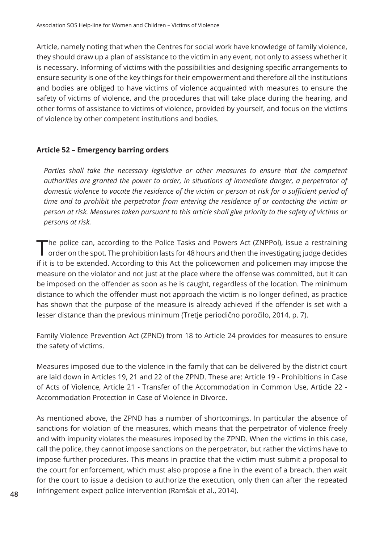Article, namely noting that when the Centres for social work have knowledge of family violence, they should draw up a plan of assistance to the victim in any event, not only to assess whether it is necessary. Informing of victims with the possibilities and designing specific arrangements to ensure security is one of the key things for their empowerment and therefore all the institutions and bodies are obliged to have victims of violence acquainted with measures to ensure the safety of victims of violence, and the procedures that will take place during the hearing, and other forms of assistance to victims of violence, provided by yourself, and focus on the victims of violence by other competent institutions and bodies.

#### **Article 52 – Emergency barring orders**

Parties shall take the necessary legislative or other measures to ensure that the competent *authorities are granted the power to order, in situations of immediate danger, a perpetrator of domestic violence to vacate the residence of the victim or person at risk for a sufficient period of time and to prohibit the perpetrator from entering the residence of or contacting the victim or person at risk. Measures taken pursuant to this article shall give priority to the safety of victims or persons at risk.*

The police can, according to the Police Tasks and Powers Act (ZNPPol), issue a restraining<br>order on the spot. The prohibition lasts for 48 hours and then the investigating judge decides if it is to be extended. According to this Act the policewomen and policemen may impose the measure on the violator and not just at the place where the offense was committed, but it can be imposed on the offender as soon as he is caught, regardless of the location. The minimum distance to which the offender must not approach the victim is no longer defined, as practice has shown that the purpose of the measure is already achieved if the offender is set with a lesser distance than the previous minimum (Tretje periodično poročilo, 2014, p. 7).

Family Violence Prevention Act (ZPND) from 18 to Article 24 provides for measures to ensure the safety of victims.

Measures imposed due to the violence in the family that can be delivered by the district court are laid down in Articles 19, 21 and 22 of the ZPND. These are: Article 19 - Prohibitions in Case of Acts of Violence, Article 21 - Transfer of the Accommodation in Common Use, Article 22 - Accommodation Protection in Case of Violence in Divorce.

As mentioned above, the ZPND has a number of shortcomings. In particular the absence of sanctions for violation of the measures, which means that the perpetrator of violence freely and with impunity violates the measures imposed by the ZPND. When the victims in this case, call the police, they cannot impose sanctions on the perpetrator, but rather the victims have to impose further procedures. This means in practice that the victim must submit a proposal to the court for enforcement, which must also propose a fine in the event of a breach, then wait for the court to issue a decision to authorize the execution, only then can after the repeated infringement expect police intervention (Ramšak et al., 2014).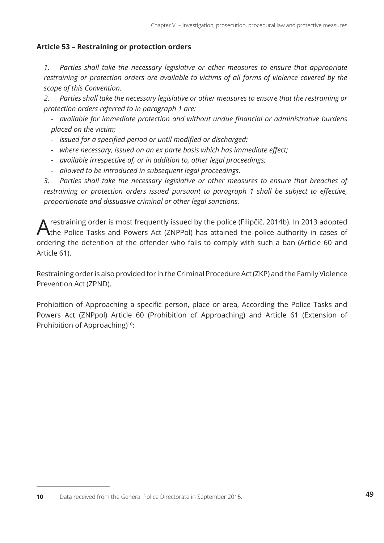#### **Article 53 – Restraining or protection orders**

*1. Parties shall take the necessary legislative or other measures to ensure that appropriate restraining or protection orders are available to victims of all forms of violence covered by the scope of this Convention.*

*2. Parties shall take the necessary legislative or other measures to ensure that the restraining or protection orders referred to in paragraph 1 are:*

*- available for immediate protection and without undue financial or administrative burdens placed on the victim;*

- *- issued for a specified period or until modified or discharged;*
- *- where necessary, issued on an ex parte basis which has immediate effect;*
- *- available irrespective of, or in addition to, other legal proceedings;*
- *- allowed to be introduced in subsequent legal proceedings.*

*3. Parties shall take the necessary legislative or other measures to ensure that breaches of restraining or protection orders issued pursuant to paragraph 1 shall be subject to effective, proportionate and dissuasive criminal or other legal sanctions.*

A restraining order is most frequently issued by the police (Filipčič, 2014b). In 2013 adopted the Police Tasks and Powers Act (ZNPPol) has attained the police authority in cases of ordering the detention of the offender who fails to comply with such a ban (Article 60 and Article 61).

Restraining order is also provided for in the Criminal Procedure Act (ZKP) and the Family Violence Prevention Act (ZPND).

Prohibition of Approaching a specific person, place or area, According the Police Tasks and Powers Act (ZNPpol) Article 60 (Prohibition of Approaching) and Article 61 (Extension of Prohibition of Approaching)<sup>10</sup>:

**<sup>10</sup>** Data received from the General Police Directorate in September 2015.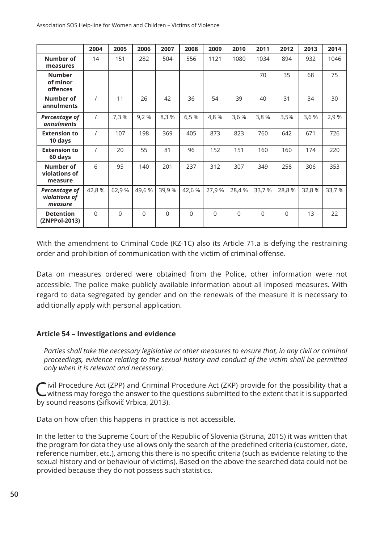|                                           | 2004       | 2005     | 2006     | 2007     | 2008     | 2009     | 2010     | 2011     | 2012     | 2013  | 2014   |
|-------------------------------------------|------------|----------|----------|----------|----------|----------|----------|----------|----------|-------|--------|
| Number of<br>measures                     | 14         | 151      | 282      | 504      | 556      | 1121     | 1080     | 1034     | 894      | 932   | 1046   |
| <b>Number</b><br>of minor<br>offences     |            |          |          |          |          |          |          | 70       | 35       | 68    | 75     |
| Number of<br>annulments                   | $\prime$   | 11       | 26       | 42       | 36       | 54       | 39       | 40       | 31       | 34    | 30     |
| Percentage of<br>annulments               | $\sqrt{2}$ | 7,3 %    | 9,2%     | 8,3 %    | 6,5%     | 4,8%     | 3,6 %    | 3,8 %    | 3,5%     | 3,6 % | 2,9 %  |
| <b>Extension to</b><br>10 days            | $\prime$   | 107      | 198      | 369      | 405      | 873      | 823      | 760      | 642      | 671   | 726    |
| <b>Extension to</b><br>60 days            | $\prime$   | 20       | 55       | 81       | 96       | 152      | 151      | 160      | 160      | 174   | 220    |
| Number of<br>violations of<br>measure     | 6          | 95       | 140      | 201      | 237      | 312      | 307      | 349      | 258      | 306   | 353    |
| Percentage of<br>violations of<br>measure | 42,8%      | 62,9%    | 49,6 %   | 39,9 %   | 42,6 %   | 27,9 %   | 28,4 %   | 33,7 %   | 28,8 %   | 32,8% | 33,7 % |
| <b>Detention</b><br>(ZNPPol-2013)         | $\Omega$   | $\Omega$ | $\Omega$ | $\Omega$ | $\Omega$ | $\Omega$ | $\Omega$ | $\Omega$ | $\Omega$ | 13    | 22     |

With the amendment to Criminal Code (KZ-1C) also its Article 71.a is defying the restraining order and prohibition of communication with the victim of criminal offense.

Data on measures ordered were obtained from the Police, other information were not accessible. The police make publicly available information about all imposed measures. With regard to data segregated by gender and on the renewals of the measure it is necessary to additionally apply with personal application.

#### **Article 54 – Investigations and evidence**

*Parties shall take the necessary legislative or other measures to ensure that, in any civil or criminal proceedings, evidence relating to the sexual history and conduct of the victim shall be permitted only when it is relevant and necessary.*

Civil Procedure Act (ZPP) and Criminal Procedure Act (ZKP) provide for the possibility that a witness may forego the answer to the questions submitted to the extent that it is supported by sound reasons (Šifkovič Vrbica, 2013).

Data on how often this happens in practice is not accessible.

In the letter to the Supreme Court of the Republic of Slovenia (Struna, 2015) it was written that the program for data they use allows only the search of the predefined criteria (customer, date, reference number, etc.), among this there is no specific criteria (such as evidence relating to the sexual history and or behaviour of victims). Based on the above the searched data could not be provided because they do not possess such statistics.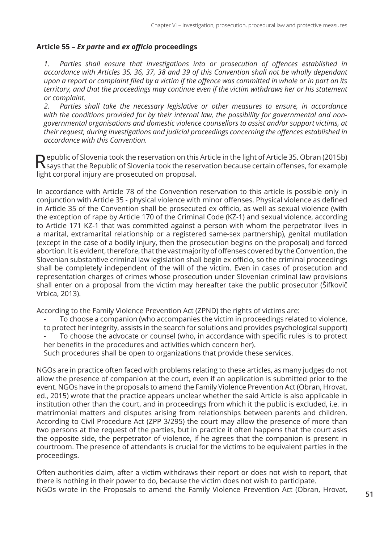#### **Article 55 –** *Ex parte* **and** *ex officio* **proceedings**

*1. Parties shall ensure that investigations into or prosecution of offences established in accordance with Articles 35, 36, 37, 38 and 39 of this Convention shall not be wholly dependant upon a report or complaint filed by a victim if the offence was committed in whole or in part on its territory, and that the proceedings may continue even if the victim withdraws her or his statement or complaint.*

*2. Parties shall take the necessary legislative or other measures to ensure, in accordance with the conditions provided for by their internal law, the possibility for governmental and nongovernmental organisations and domestic violence counsellors to assist and/or support victims, at their request, during investigations and judicial proceedings concerning the offences established in accordance with this Convention.*

Republic of Slovenia took the reservation on this Article in the light of Article 35. Obran (2015b)<br>
Says that the Republic of Slovenia took the reservation because certain offenses, for example light corporal injury are prosecuted on proposal.

In accordance with Article 78 of the Convention reservation to this article is possible only in conjunction with Article 35 - physical violence with minor offenses. Physical violence as defined in Article 35 of the Convention shall be prosecuted ex officio, as well as sexual violence (with the exception of rape by Article 170 of the Criminal Code (KZ-1) and sexual violence, according to Article 171 KZ-1 that was committed against a person with whom the perpetrator lives in a marital, extramarital relationship or a registered same-sex partnership), genital mutilation (except in the case of a bodily injury, then the prosecution begins on the proposal) and forced abortion. It is evident, therefore, that the vast majority of offenses covered by the Convention, the Slovenian substantive criminal law legislation shall begin ex officio, so the criminal proceedings shall be completely independent of the will of the victim. Even in cases of prosecution and representation charges of crimes whose prosecution under Slovenian criminal law provisions shall enter on a proposal from the victim may hereafter take the public prosecutor (Šifkovič Vrbica, 2013).

According to the Family Violence Prevention Act (ZPND) the rights of victims are:

- To choose a companion (who accompanies the victim in proceedings related to violence, to protect her integrity, assists in the search for solutions and provides psychological support) To choose the advocate or counsel (who, in accordance with specific rules is to protect her benefits in the procedures and activities which concern her).
- Such procedures shall be open to organizations that provide these services.

NGOs are in practice often faced with problems relating to these articles, as many judges do not allow the presence of companion at the court, even if an application is submitted prior to the event. NGOs have in the proposals to amend the Family Violence Prevention Act (Obran, Hrovat, ed., 2015) wrote that the practice appears unclear whether the said Article is also applicable in institution other than the court, and in proceedings from which it the public is excluded, i.e. in matrimonial matters and disputes arising from relationships between parents and children. According to Civil Procedure Act (ZPP 3/295) the court may allow the presence of more than two persons at the request of the parties, but in practice it often happens that the court asks the opposite side, the perpetrator of violence, if he agrees that the companion is present in courtroom. The presence of attendants is crucial for the victims to be equivalent parties in the proceedings.

Often authorities claim, after a victim withdraws their report or does not wish to report, that there is nothing in their power to do, because the victim does not wish to participate. NGOs wrote in the Proposals to amend the Family Violence Prevention Act (Obran, Hrovat,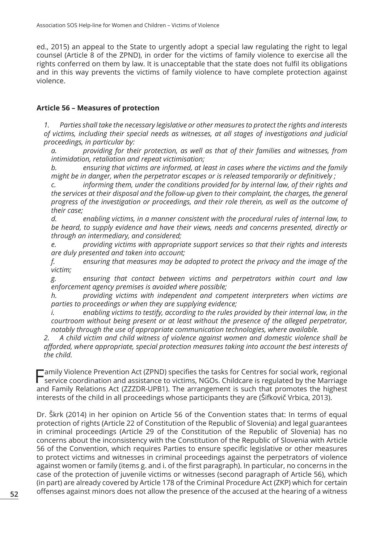ed., 2015) an appeal to the State to urgently adopt a special law regulating the right to legal counsel (Article 8 of the ZPND), in order for the victims of family violence to exercise all the rights conferred on them by law. It is unacceptable that the state does not fulfil its obligations and in this way prevents the victims of family violence to have complete protection against violence.

#### **Article 56 – Measures of protection**

*1. Parties shall take the necessary legislative or other measures to protect the rights and interests of victims, including their special needs as witnesses, at all stages of investigations and judicial proceedings, in particular by:*

*a. providing for their protection, as well as that of their families and witnesses, from intimidation, retaliation and repeat victimisation;*

*b. ensuring that victims are informed, at least in cases where the victims and the family might be in danger, when the perpetrator escapes or is released temporarily or definitively ;*

*c. informing them, under the conditions provided for by internal law, of their rights and the services at their disposal and the follow-up given to their complaint, the charges, the general progress of the investigation or proceedings, and their role therein, as well as the outcome of their case;*

*d. enabling victims, in a manner consistent with the procedural rules of internal law, to be heard, to supply evidence and have their views, needs and concerns presented, directly or through an intermediary, and considered;*

*e. providing victims with appropriate support services so that their rights and interests are duly presented and taken into account;*

*f. ensuring that measures may be adopted to protect the privacy and the image of the victim;*

*g. ensuring that contact between victims and perpetrators within court and law enforcement agency premises is avoided where possible;*

*h. providing victims with independent and competent interpreters when victims are parties to proceedings or when they are supplying evidence;*

*i. enabling victims to testify, according to the rules provided by their internal law, in the courtroom without being present or at least without the presence of the alleged perpetrator, notably through the use of appropriate communication technologies, where available.*

*2. A child victim and child witness of violence against women and domestic violence shall be afforded, where appropriate, special protection measures taking into account the best interests of the child.*

Family Violence Prevention Act (ZPND) specifies the tasks for Centres for social work, regional<br>Service coordination and assistance to victime. NGOs, Childeana is required buthe Marrio service coordination and assistance to victims, NGOs. Childcare is regulated by the Marriage and Family Relations Act (ZZZDR-UPB1). The arrangement is such that promotes the highest interests of the child in all proceedings whose participants they are (Šifkovič Vrbica, 2013).

Dr. Škrk (2014) in her opinion on Article 56 of the Convention states that: In terms of equal protection of rights (Article 22 of Constitution of the Republic of Slovenia) and legal guarantees in criminal proceedings (Article 29 of the Constitution of the Republic of Slovenia) has no concerns about the inconsistency with the Constitution of the Republic of Slovenia with Article 56 of the Convention, which requires Parties to ensure specific legislative or other measures to protect victims and witnesses in criminal proceedings against the perpetrators of violence against women or family (items g. and i. of the first paragraph). In particular, no concerns in the case of the protection of juvenile victims or witnesses (second paragraph of Article 56), which (in part) are already covered by Article 178 of the Criminal Procedure Act (ZKP) which for certain offenses against minors does not allow the presence of the accused at the hearing of a witness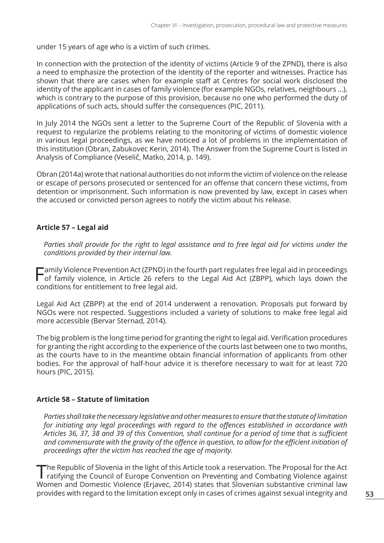under 15 years of age who is a victim of such crimes.

In connection with the protection of the identity of victims (Article 9 of the ZPND), there is also a need to emphasize the protection of the identity of the reporter and witnesses. Practice has shown that there are cases when for example staff at Centres for social work disclosed the identity of the applicant in cases of family violence (for example NGOs, relatives, neighbours ...), which is contrary to the purpose of this provision, because no one who performed the duty of applications of such acts, should suffer the consequences (PIC, 2011).

In July 2014 the NGOs sent a letter to the Supreme Court of the Republic of Slovenia with a request to regularize the problems relating to the monitoring of victims of domestic violence in various legal proceedings, as we have noticed a lot of problems in the implementation of this institution (Obran, Zabukovec Kerin, 2014). The Answer from the Supreme Court is listed in Analysis of Compliance (Veselič, Matko, 2014, p. 149).

Obran (2014a) wrote that national authorities do not inform the victim of violence on the release or escape of persons prosecuted or sentenced for an offense that concern these victims, from detention or imprisonment. Such information is now prevented by law, except in cases when the accused or convicted person agrees to notify the victim about his release.

#### **Article 57 – Legal aid**

*Parties shall provide for the right to legal assistance and to free legal aid for victims under the conditions provided by their internal law.*

Family Violence Prevention Act (ZPND) in the fourth part regulates free legal aid in proceedings of family violence, in Article 26 refers to the Legal Aid Act (ZBPP), which lays down the conditions for entitlement to free legal aid.

Legal Aid Act (ZBPP) at the end of 2014 underwent a renovation. Proposals put forward by NGOs were not respected. Suggestions included a variety of solutions to make free legal aid more accessible (Bervar Sternad, 2014).

The big problem is the long time period for granting the right to legal aid. Verification procedures for granting the right according to the experience of the courts last between one to two months, as the courts have to in the meantime obtain financial information of applicants from other bodies. For the approval of half-hour advice it is therefore necessary to wait for at least 720 hours (PIC, 2015).

#### **Article 58 – Statute of limitation**

*Parties shall take the necessary legislative and other measures to ensure that the statute of limitation for initiating any legal proceedings with regard to the offences established in accordance with Articles 36, 37, 38 and 39 of this Convention, shall continue for a period of time that is sufficient and commensurate with the gravity of the offence in question, to allow for the efficient initiation of proceedings after the victim has reached the age of majority.*

The Republic of Slovenia in the light of this Article took a reservation. The Proposal for the Act ratifying the Council of Europe Convention on Preventing and Combating Violence against Women and Domestic Violence (Erjavec, 2014) states that Slovenian substantive criminal law provides with regard to the limitation except only in cases of crimes against sexual integrity and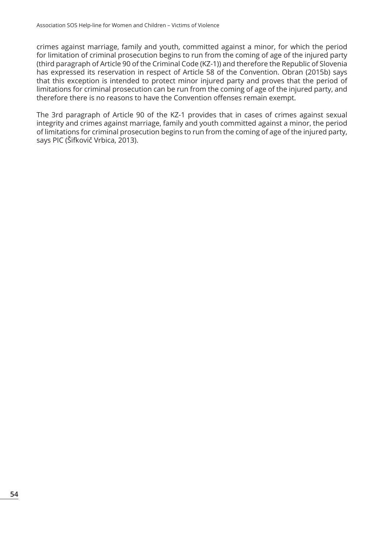crimes against marriage, family and youth, committed against a minor, for which the period for limitation of criminal prosecution begins to run from the coming of age of the injured party (third paragraph of Article 90 of the Criminal Code (KZ-1)) and therefore the Republic of Slovenia has expressed its reservation in respect of Article 58 of the Convention. Obran (2015b) says that this exception is intended to protect minor injured party and proves that the period of limitations for criminal prosecution can be run from the coming of age of the injured party, and therefore there is no reasons to have the Convention offenses remain exempt.

The 3rd paragraph of Article 90 of the KZ-1 provides that in cases of crimes against sexual integrity and crimes against marriage, family and youth committed against a minor, the period of limitations for criminal prosecution begins to run from the coming of age of the injured party, says PIC (Šifkovič Vrbica, 2013).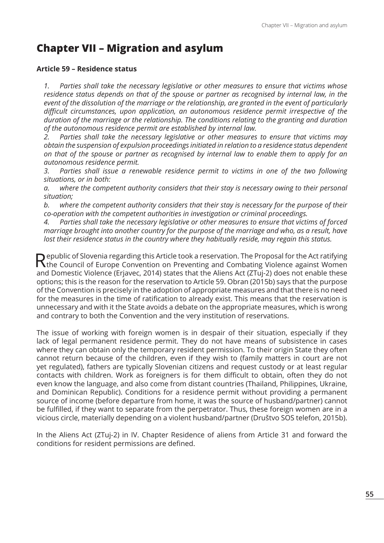# **Chapter VII – Migration and asylum**

#### **Article 59 – Residence status**

*1. Parties shall take the necessary legislative or other measures to ensure that victims whose residence status depends on that of the spouse or partner as recognised by internal law, in the event of the dissolution of the marriage or the relationship, are granted in the event of particularly difficult circumstances, upon application, an autonomous residence permit irrespective of the duration of the marriage or the relationship. The conditions relating to the granting and duration of the autonomous residence permit are established by internal law.*

*2. Parties shall take the necessary legislative or other measures to ensure that victims may obtain the suspension of expulsion proceedings initiated in relation to a residence status dependent on that of the spouse or partner as recognised by internal law to enable them to apply for an autonomous residence permit.*

*3. Parties shall issue a renewable residence permit to victims in one of the two following situations, or in both:*

*a. where the competent authority considers that their stay is necessary owing to their personal situation;*

*b. where the competent authority considers that their stay is necessary for the purpose of their co-operation with the competent authorities in investigation or criminal proceedings.*

*4. Parties shall take the necessary legislative or other measures to ensure that victims of forced marriage brought into another country for the purpose of the marriage and who, as a result, have lost their residence status in the country where they habitually reside, may regain this status.*

Republic of Slovenia regarding this Article took a reservation. The Proposal for the Act ratifying<br>The Council of Europe Convention on Preventing and Combating Violence against Women and Domestic Violence (Erjavec, 2014) states that the Aliens Act (ZTuj-2) does not enable these options; this is the reason for the reservation to Article 59. Obran (2015b) says that the purpose of the Convention is precisely in the adoption of appropriate measures and that there is no need for the measures in the time of ratification to already exist. This means that the reservation is unnecessary and with it the State avoids a debate on the appropriate measures, which is wrong and contrary to both the Convention and the very institution of reservations.

The issue of working with foreign women is in despair of their situation, especially if they lack of legal permanent residence permit. They do not have means of subsistence in cases where they can obtain only the temporary resident permission. To their origin State they often cannot return because of the children, even if they wish to (family matters in court are not yet regulated), fathers are typically Slovenian citizens and request custody or at least regular contacts with children. Work as foreigners is for them difficult to obtain, often they do not even know the language, and also come from distant countries (Thailand, Philippines, Ukraine, and Dominican Republic). Conditions for a residence permit without providing a permanent source of income (before departure from home, it was the source of husband/partner) cannot be fulfilled, if they want to separate from the perpetrator. Thus, these foreign women are in a vicious circle, materially depending on a violent husband/partner (Društvo SOS telefon, 2015b).

In the Aliens Act (ZTuj-2) in IV. Chapter Residence of aliens from Article 31 and forward the conditions for resident permissions are defined.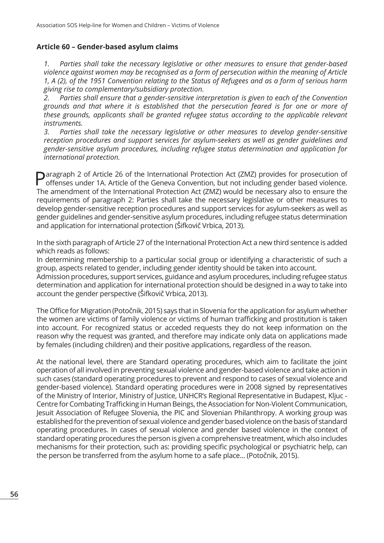#### **Article 60 – Gender-based asylum claims**

*1. Parties shall take the necessary legislative or other measures to ensure that gender-based violence against women may be recognised as a form of persecution within the meaning of Article 1, A (2), of the 1951 Convention relating to the Status of Refugees and as a form of serious harm giving rise to complementary/subsidiary protection.*

*2. Parties shall ensure that a gender-sensitive interpretation is given to each of the Convention grounds and that where it is established that the persecution feared is for one or more of these grounds, applicants shall be granted refugee status according to the applicable relevant instruments.*

*3. Parties shall take the necessary legislative or other measures to develop gender-sensitive reception procedures and support services for asylum-seekers as well as gender guidelines and gender-sensitive asylum procedures, including refugee status determination and application for international protection.*

**Paragraph 2 of Article 26 of the International Protection Act (ZMZ) provides for prosecution of** offenses under 1A. Article of the Geneva Convention, but not including gender based violence. The amendment of the International Protection Act (ZMZ) would be necessary also to ensure the requirements of paragraph 2: Parties shall take the necessary legislative or other measures to develop gender-sensitive reception procedures and support services for asylum-seekers as well as gender guidelines and gender-sensitive asylum procedures, including refugee status determination and application for international protection (Šifkovič Vrbica, 2013).

In the sixth paragraph of Article 27 of the International Protection Act a new third sentence is added which reads as follows:

In determining membership to a particular social group or identifying a characteristic of such a group, aspects related to gender, including gender identity should be taken into account.

Admission procedures, support services, guidance and asylum procedures, including refugee status determination and application for international protection should be designed in a way to take into account the gender perspective (Šifkovič Vrbica, 2013).

The Office for Migration (Potočnik, 2015) says that in Slovenia for the application for asylum whether the women are victims of family violence or victims of human trafficking and prostitution is taken into account. For recognized status or acceded requests they do not keep information on the reason why the request was granted, and therefore may indicate only data on applications made by females (including children) and their positive applications, regardless of the reason.

At the national level, there are Standard operating procedures, which aim to facilitate the joint operation of all involved in preventing sexual violence and gender-based violence and take action in such cases (standard operating procedures to prevent and respond to cases of sexual violence and gender-based violence). Standard operating procedures were in 2008 signed by representatives of the Ministry of Interior, Ministry of Justice, UNHCR's Regional Representative in Budapest, Kljuc - Centre for Combating Trafficking in Human Beings, the Association for Non-Violent Communication, Jesuit Association of Refugee Slovenia, the PIC and Slovenian Philanthropy. A working group was established for the prevention of sexual violence and gender based violence on the basis of standard operating procedures. In cases of sexual violence and gender based violence in the context of standard operating procedures the person is given a comprehensive treatment, which also includes mechanisms for their protection, such as: providing specific psychological or psychiatric help, can the person be transferred from the asylum home to a safe place... (Potočnik, 2015).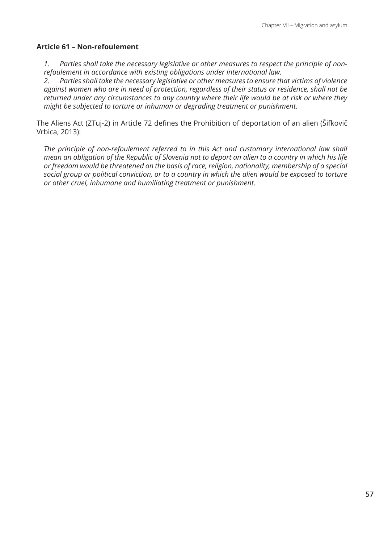#### **Article 61 – Non-refoulement**

*1. Parties shall take the necessary legislative or other measures to respect the principle of nonrefoulement in accordance with existing obligations under international law.*

*2. Parties shall take the necessary legislative or other measures to ensure that victims of violence against women who are in need of protection, regardless of their status or residence, shall not be returned under any circumstances to any country where their life would be at risk or where they might be subjected to torture or inhuman or degrading treatment or punishment.*

The Aliens Act (ZTuj-2) in Article 72 defines the Prohibition of deportation of an alien (Šifkovič Vrbica, 2013):

*The principle of non-refoulement referred to in this Act and customary international law shall mean an obligation of the Republic of Slovenia not to deport an alien to a country in which his life or freedom would be threatened on the basis of race, religion, nationality, membership of a special social group or political conviction, or to a country in which the alien would be exposed to torture or other cruel, inhumane and humiliating treatment or punishment.*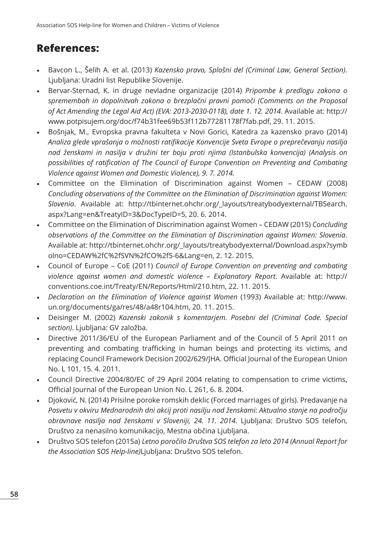# **References:**

- Bavcon L., Šelih A. et al. (2013) *Kazensko pravo, Splošni del (Criminal Law, General Section)*. Ljubljana: Uradni list Republike Slovenije.
- Bervar-Sternad, K. in druge nevladne organizacije (2014) *Pripombe k predlogu zakona o spremembah in dopolnitvah zakona o brezplačni pravni pomoči (Comments on the Proposal of Act Amending the Legal Aid Act) (EVA: 2013-2030-0118), date 1. 12. 2014*. Available at: http:// www.potpisujem.org/doc/f74b31fee69b53f112b77281178f7fab.pdf, 29. 11. 2015.
- Bošnjak, M., Evropska pravna fakulteta v Novi Gorici, Katedra za kazensko pravo (2014) *Analiza glede vprašanja o možnosti ratifikacije Konvencije Sveta Evrope o preprečevanju nasilja nad ženskami in nasilja v družini ter boju proti njima (Istanbulska konvencija) (Analysis on possibilities of ratification of The Council of Europe Convention on Preventing and Combating Violence against Women and Domestic Violence), 9. 7. 2014.*
- Committee on the Elimination of Discrimination against Women CEDAW (2008) *Concluding observations of the Committee on the Elimination of Discrimination against Women: Slovenia*. Available at: http://tbinternet.ohchr.org/\_layouts/treatybodyexternal/TBSearch. aspx?Lang=en&TreatyID=3&DocTypeID=5, 20. 6. 2014.
- Committee on the Elimination of Discrimination against Women CEDAW (2015) *Concluding observations of the Committee on the Elimination of Discrimination against Women: Slovenia*. Available at: http://tbinternet.ohchr.org/\_layouts/treatybodyexternal/Download.aspx?symb olno=CEDAW%2fC%2fSVN%2fCO%2f5-6&Lang=en, 2. 12. 2015.
- Council of Europe CoE (2011) *Council of Europe Convention on preventing and combating violence against women and domestic violence – Explanatory Report*. Available at: http:// conventions.coe.int/Treaty/EN/Reports/Html/210.htm, 22. 11. 2015.
- *• Declaration on the Elimination of Violence against Women* (1993) Available at: http://www. un.org/documents/ga/res/48/a48r104.htm, 20. 11. 2015.
- Deisinger M. (2002) *Kazenski zakonik s komentarjem. Posebni del (Criminal Code. Special section)*. Ljubljana: GV založba.
- Directive 2011/36/EU of the European Parliament and of the Council of 5 April 2011 on preventing and combating trafficking in human beings and protecting its victims, and replacing Council Framework Decision 2002/629/JHA. Official Journal of the European Union No. L 101, 15. 4. 2011.
- Council Directive 2004/80/EC of 29 April 2004 relating to compensation to crime victims, Official Journal of the European Union No. L 261, 6. 8. 2004.
- Djoković, N. (2014) Prisilne poroke romskih deklic (Forced marriages of girls). Predavanje na *Posvetu v okviru Mednarodnih dni akcij proti nasilju nad ženskami: Aktualno stanje na področju obravnave nasilja nad ženskami v Sloveniji, 24. 11. 2014.* Ljubljana: Društvo SOS telefon, Društvo za nenasilno komunikacijo, Mestna občina Ljubljana.
- Društvo SOS telefon (2015a) *Letno poročilo Društva SOS telefon za leto 2014 (Annual Report for the Association SOS Help-line)*Ljubljana: Društvo SOS telefon.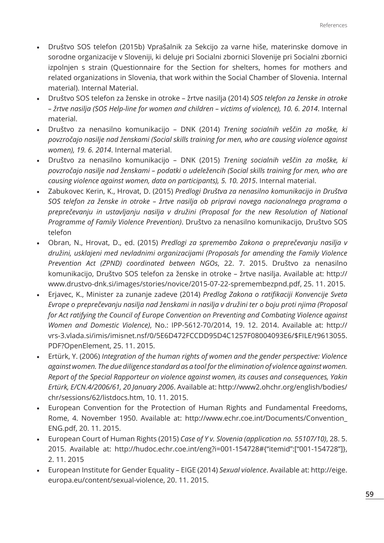- Društvo SOS telefon (2015b) Vprašalnik za Sekcijo za varne hiše, materinske domove in sorodne organizacije v Sloveniji, ki deluje pri Socialni zbornici Slovenije pri Socialni zbornici izpolnjen s strain (Questionnaire for the Section for shelters, homes for mothers and related organizations in Slovenia, that work within the Social Chamber of Slovenia. Internal material). Internal Material.
- Društvo SOS telefon za ženske in otroke žrtve nasilja (2014) *SOS telefon za ženske in otroke – žrtve nasilja (SOS Help-line for women and children – victims of violence), 10. 6. 2014*. Internal material.
- Društvo za nenasilno komunikacijo DNK (2014) *Trening socialnih veščin za moške, ki povzročajo nasilje nad ženskami (Social skills training for men, who are causing violence against women), 19. 6. 2014*. Internal material.
- Društvo za nenasilno komunikacijo DNK (2015) *Trening socialnih veščin za moške, ki povzročajo nasilje nad ženskami – podatki o udeležencih (Social skills training for men, who are causing violence against women, data on participants), 5. 10. 2015*. Internal material.
- Zabukovec Kerin, K., Hrovat, D. (2015) *Predlogi Društva za nenasilno komunikacijo in Društva SOS telefon za ženske in otroke – žrtve nasilja ob pripravi novega nacionalnega programa o preprečevanju in ustavljanju nasilja v družini (Proposal for the new Resolution of National Programme of Family Violence Prevention)*. Društvo za nenasilno komunikacijo, Društvo SOS telefon
- Obran, N., Hrovat, D., ed. (2015) *Predlogi za spremembo Zakona o preprečevanju nasilja v družini, usklajeni med nevladnimi organizacijami (Proposals for amending the Family Violence Prevention Act (ZPND) coordinated between NGOs*, 22. 7. 2015. Društvo za nenasilno komunikacijo, Društvo SOS telefon za ženske in otroke – žrtve nasilja. Available at: http:// www.drustvo-dnk.si/images/stories/novice/2015-07-22-spremembezpnd.pdf, 25. 11. 2015.
- Erjavec, K., Minister za zunanje zadeve (2014) *Predlog Zakona o ratifikaciji Konvencije Sveta Evrope o preprečevanju nasilja nad ženskami in nasilja v družini ter o boju proti njima (Proposal for Act ratifying the Council of Europe Convention on Preventing and Combating Violence against Women and Domestic Violence)*, No.: IPP-5612-70/2014, 19. 12. 2014. Available at: http:// vrs-3.vlada.si/imis/imisnet.nsf/0/5E6D472FCCDD95D4C1257F08004093E6/\$FILE/t9613055. PDF?OpenElement, 25. 11. 2015.
- Ertürk, Y. (2006) *Integration of the human rights of women and the gender perspective: Violence against women. The due diligence standard as a tool for the elimination of violence against women. Report of the Special Rapporteur on violence against women, its causes and consequences, Yakin Ertürk, E/CN.4/2006/61, 20 January 2006*. Available at: http://www2.ohchr.org/english/bodies/ chr/sessions/62/listdocs.htm, 10. 11. 2015.
- European Convention for the Protection of Human Rights and Fundamental Freedoms, Rome, 4. November 1950. Available at: http://www.echr.coe.int/Documents/Convention\_ ENG.pdf, 20. 11. 2015.
- European Court of Human Rights (2015) *Case of Y v. Slovenia (application no. 55107/10)*, 28. 5. 2015. Available at: http://hudoc.echr.coe.int/eng?i=001-154728#{"itemid":["001-154728"]}, 2. 11. 2015
- European Institute for Gender Equality EIGE (2014) *Sexual violence*. Available at: http://eige. europa.eu/content/sexual-violence, 20. 11. 2015.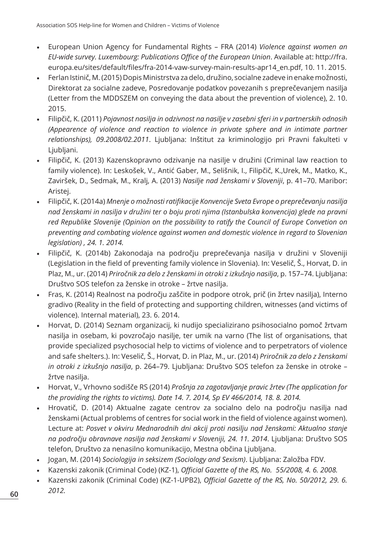- European Union Agency for Fundamental Rights FRA (2014) *Violence against women an EU-wide survey. Luxembourg: Publications Office of the European Union*. Available at: http://fra. europa.eu/sites/default/files/fra-2014-vaw-survey-main-results-apr14\_en.pdf, 10. 11. 2015.
- Ferlan Istinič, M. (2015) Dopis Ministrstva za delo, družino, socialne zadeve in enake možnosti, Direktorat za socialne zadeve, Posredovanje podatkov povezanih s preprečevanjem nasilja (Letter from the MDDSZEM on conveying the data about the prevention of violence), 2. 10. 2015.
- Filipčič, K. (2011) *Pojavnost nasilja in odzivnost na nasilje v zasebni sferi in v partnerskih odnosih (Appearence of violence and reaction to violence in private sphere and in intimate partner relationships), 09.2008/02.2011*. Ljubljana: Inštitut za kriminologijo pri Pravni fakulteti v Ljubljani.
- Filipčič, K. (2013) Kazenskopravno odzivanje na nasilje v družini (Criminal law reaction to family violence). In: Leskošek, V., Antić Gaber, M., Selišnik, I., Filipčič, K.,Urek, M., Matko, K., Zaviršek, D., Sedmak, M., Kralj, A. (2013) *Nasilje nad ženskami v Sloveniji*, p. 41–70. Maribor: Aristej.
- Filipčič, K. (2014a) *Mnenje o možnosti ratifikacije Konvencije Sveta Evrope o preprečevanju nasilja nad ženskami in nasilja v družini ter o boju proti njima (Istanbulska konvencija) glede na pravni red Republike Slovenije (Opinion on the possibility to ratify the Council of Europe Convetion on preventing and combating violence against women and domestic violence in regard to Slovenian legislation) , 24. 1. 2014.*
- Filipčič, K. (2014b) Zakonodaja na področju preprečevanja nasilja v družini v Sloveniji (Legislation in the field of preventing family violence in Slovenia). In: Veselič, Š., Horvat, D. in Plaz, M., ur. (2014) *Priročnik za delo z ženskami in otroki z izkušnjo nasilja*, p. 157–74. Ljubljana: Društvo SOS telefon za ženske in otroke – žrtve nasilja.
- Fras, K. (2014) Realnost na področju zaščite in podpore otrok, prič (in žrtev nasilja), Interno gradivo (Reality in the field of protecting and supporting children, witnesses (and victims of violence). Internal material), 23. 6. 2014.
- Horvat, D. (2014) Seznam organizacij, ki nudijo specializirano psihosocialno pomoč žrtvam nasilja in osebam, ki povzročajo nasilje, ter umik na varno (The list of organisations, that provide specialized psychosocial help to victims of violence and to perpetrators of violence and safe shelters.). In: Veselič, Š., Horvat, D. in Plaz, M., ur. (2014) *Priročnik za delo z ženskami in otroki z izkušnjo nasilja*, p. 264–79. Ljubljana: Društvo SOS telefon za ženske in otroke – žrtve nasilja.
- Horvat, V., Vrhovno sodišče RS (2014) *Prošnja za zagotavljanje pravic žrtev (The application for the providing the rights to victims). Date 14. 7. 2014, Sp EV 466/2014, 18. 8. 2014.*
- Hrovatič, D. (2014) Aktualne zagate centrov za socialno delo na področju nasilja nad ženskami (Actual problems of centres for social work in the field of violence against women). Lecture at: *Posvet v okviru Mednarodnih dni akcij proti nasilju nad ženskami: Aktualno stanje na področju obravnave nasilja nad ženskami v Sloveniji, 24. 11. 2014*. Ljubljana: Društvo SOS telefon, Društvo za nenasilno komunikacijo, Mestna občina Ljubljana.
- Jogan, M. (2014) *Sociologija in seksizem (Sociology and Sexism)*. Ljubljana: Založba FDV.
- Kazenski zakonik (Criminal Code) (KZ-1), *Official Gazette of the RS, No. 55/2008, 4. 6. 2008.*
- Kazenski zakonik (Criminal Code) (KZ-1-UPB2), *Official Gazette of the RS, No. 50/2012, 29. 6. 2012.*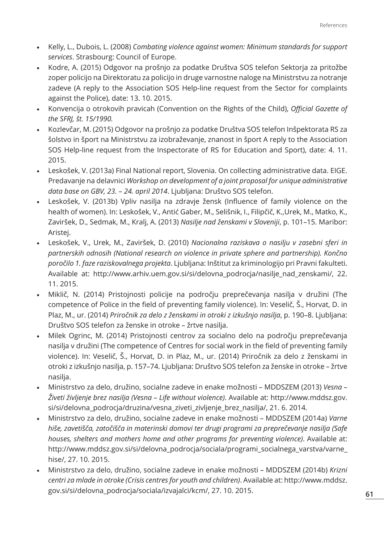- Kelly, L., Dubois, L. (2008) *Combating violence against women: Minimum standards for support services*. Strasbourg: Council of Europe.
- Kodre, A. (2015) Odgovor na prošnjo za podatke Društva SOS telefon Sektorja za pritožbe zoper policijo na Direktoratu za policijo in druge varnostne naloge na Ministrstvu za notranje zadeve (A reply to the Association SOS Help-line request from the Sector for complaints against the Police), date: 13. 10. 2015.
- Konvencija o otrokovih pravicah (Convention on the Rights of the Child), *Official Gazette of the SFRJ, št. 15/1990.*
- Kozlevčar, M. (2015) Odgovor na prošnjo za podatke Društva SOS telefon Inšpektorata RS za šolstvo in šport na Ministrstvu za izobraževanje, znanost in šport A reply to the Association SOS Help-line request from the Inspectorate of RS for Education and Sport), date: 4. 11. 2015.
- Leskošek, V. (2013a) Final National report, Slovenia. On collecting administrative data. EIGE. Predavanje na delavnici *Workshop on development of a joint proposal for unique administrative data base on GBV, 23. – 24. april 2014*. Ljubljana: Društvo SOS telefon.
- Leskošek, V. (2013b) Vpliv nasilja na zdravje žensk (Influence of family violence on the health of women). In: Leskošek, V., Antić Gaber, M., Selišnik, I., Filipčič, K.,Urek, M., Matko, K., Zaviršek, D., Sedmak, M., Kralj, A. (2013) *Nasilje nad ženskami v Sloveniji*, p. 101–15. Maribor: Aristej.
- Leskošek, V., Urek, M., Zaviršek, D. (2010) *Nacionalna raziskava o nasilju v zasebni sferi in partnerskih odnosih (National research on violence in private sphere and partnership). Končno poročilo 1. faze raziskovalnega projekta*. Ljubljana: Inštitut za kriminologijo pri Pravni fakulteti. Available at: http://www.arhiv.uem.gov.si/si/delovna\_podrocja/nasilje\_nad\_zenskami/, 22. 11. 2015.
- Miklič, N. (2014) Pristojnosti policije na področju preprečevanja nasilja v družini (The competence of Police in the field of preventing family violence). In: Veselič, Š., Horvat, D. in Plaz, M., ur. (2014) *Priročnik za delo z ženskami in otroki z izkušnjo nasilja*, p. 190–8. Ljubljana: Društvo SOS telefon za ženske in otroke – žrtve nasilja.
- Milek Ogrinc, M. (2014) Pristojnosti centrov za socialno delo na področju preprečevanja nasilja v družini (The competence of Centres for social work in the field of preventing family violence). In: Veselič, Š., Horvat, D. in Plaz, M., ur. (2014) Priročnik za delo z ženskami in otroki z izkušnjo nasilja, p. 157–74. Ljubljana: Društvo SOS telefon za ženske in otroke – žrtve nasilja.
- Ministrstvo za delo, družino, socialne zadeve in enake možnosti MDDSZEM (2013) *Vesna Živeti življenje brez nasilja (Vesna – Life without violence)*. Available at: http://www.mddsz.gov. si/si/delovna\_podrocja/druzina/vesna\_ziveti\_zivljenje\_brez\_nasilja/, 21. 6. 2014.
- Ministrstvo za delo, družino, socialne zadeve in enake možnosti MDDSZEM (2014a) *Varne hiše, zavetišča, zatočišča in materinski domovi ter drugi programi za preprečevanje nasilja (Safe houses, shelters and mothers home and other programs for preventing violence)*. Available at: http://www.mddsz.gov.si/si/delovna\_podrocja/sociala/programi\_socialnega\_varstva/varne\_ hise/, 27. 10. 2015.
- Ministrstvo za delo, družino, socialne zadeve in enake možnosti MDDSZEM (2014b) *Krizni centri za mlade in otroke (Crisis centres for youth and children)*. Available at: http://www.mddsz. gov.si/si/delovna\_podrocja/sociala/izvajalci/kcm/, 27. 10. 2015.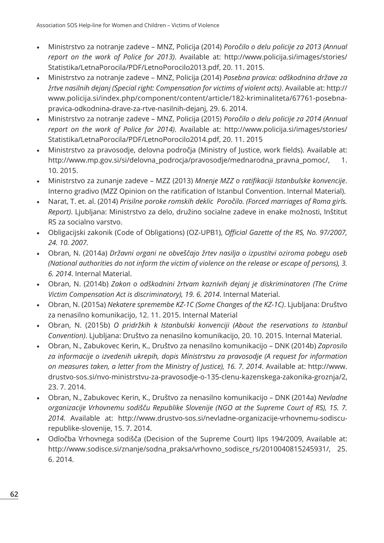- Ministrstvo za notranje zadeve MNZ, Policija (2014) *Poročilo o delu policije za 2013 (Annual report on the work of Police for 2013)*. Available at: http://www.policija.si/images/stories/ Statistika/LetnaPorocila/PDF/LetnoPorocilo2013.pdf, 20. 11. 2015.
- Ministrstvo za notranje zadeve MNZ, Policija (2014) *Posebna pravica: odškodnina države za žrtve nasilnih dejanj (Special right: Compensation for victims of violent acts)*. Available at: http:// www.policija.si/index.php/component/content/article/182-kriminaliteta/67761-posebnapravica-odkodnina-drave-za-rtve-nasilnih-dejanj, 29. 6. 2014.
- Ministrstvo za notranje zadeve MNZ, Policija (2015) *Poročilo o delu policije za 2014 (Annual report on the work of Police for 2014)*. Available at: http://www.policija.si/images/stories/ Statistika/LetnaPorocila/PDF/LetnoPorocilo2014.pdf, 20. 11. 2015
- Ministrstvo za pravosodje, delovna področja (Ministry of Justice, work fields). Available at: http://www.mp.gov.si/si/delovna\_podrocja/pravosodje/mednarodna\_pravna\_pomoc/, 1. 10. 2015.
- Ministrstvo za zunanje zadeve MZZ (2013) *Mnenje MZZ o ratifikaciji Istanbulske konvencije*. Interno gradivo (MZZ Opinion on the ratification of Istanbul Convention. Internal Material).
- Narat, T. et. al. (2014) *Prisilne poroke romskih deklic Poročilo. (Forced marriages of Roma girls. Report)*. Ljubljana: Ministrstvo za delo, družino socialne zadeve in enake možnosti, Inštitut RS za socialno varstvo.
- Obligacijski zakonik (Code of Obligations) (OZ-UPB1), *Official Gazette of the RS, No. 97/2007, 24. 10. 2007.*
- Obran, N. (2014a) *Državni organi ne obveščajo žrtev nasilja o izpustitvi oziroma pobegu oseb (National authorities do not inform the victim of violence on the release or escape of persons), 3. 6. 2014*. Internal Material.
- Obran, N. (2014b) *Zakon o odškodnini žrtvam kaznivih dejanj je diskriminatoren (The Crime Victim Compensation Act is discriminatory), 19. 6. 2014*. Internal Material.
- Obran, N. (2015a) *Nekatere spremembe KZ-1C (Some Changes of the KZ-1C)*. Ljubljana: Društvo za nenasilno komunikacijo, 12. 11. 2015. Internal Material
- Obran, N. (2015b) *O pridržkih k Istanbulski konvenciji (About the reservations to Istanbul Convention)*. Ljubljana: Društvo za nenasilno komunikacijo, 20. 10. 2015. Internal Material.
- Obran, N., Zabukovec Kerin, K., Društvo za nenasilno komunikacijo DNK (2014b) *Zaprosilo za informacije o izvedenih ukrepih, dopis Ministrstvu za pravosodje (A request for information on measures taken, a letter from the Ministry of Justice), 16. 7. 2014*. Available at: http://www. drustvo-sos.si/nvo-ministrstvu-za-pravosodje-o-135-clenu-kazenskega-zakonika-groznja/2, 23. 7. 2014.
- Obran, N., Zabukovec Kerin, K., Društvo za nenasilno komunikacijo DNK (2014a) *Nevladne organizacije Vrhovnemu sodišču Republike Slovenije (NGO at the Supreme Court of RS), 15. 7. 2014.* Available at: http://www.drustvo-sos.si/nevladne-organizacije-vrhovnemu-sodiscurepublike-slovenije, 15. 7. 2014.
- Odločba Vrhovnega sodišča (Decision of the Supreme Court) IIps 194/2009, Available at: http://www.sodisce.si/znanje/sodna\_praksa/vrhovno\_sodisce\_rs/2010040815245931/, 25. 6. 2014.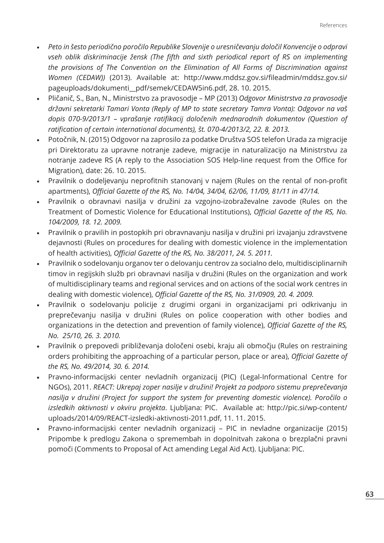- *• Peto in šesto periodično poročilo Republike Slovenije o uresničevanju določil Konvencije o odpravi vseh oblik diskriminacije žensk (The fifth and sixth periodical report of RS on implementing the provisions of The Convention on the Elimination of All Forms of Discrimination against Women (CEDAW))* (2013). Available at: http://www.mddsz.gov.si/fileadmin/mddsz.gov.si/ pageuploads/dokumenti\_\_pdf/semek/CEDAW5in6.pdf, 28. 10. 2015.
- Pličanič, S., Ban, N., Ministrstvo za pravosodje MP (2013) *Odgovor Ministrstva za pravosodje državni sekretarki Tamari Vonta (Reply of MP to state secretary Tamra Vonta): Odgovor na vaš dopis 070-9/2013/1 – vprašanje ratifikacij določenih mednarodnih dokumentov (Question of ratification of certain international documents), št. 070-4/2013/2, 22. 8. 2013.*
- Potočnik, N. (2015) Odgovor na zaprosilo za podatke Društva SOS telefon Urada za migracije pri Direktoratu za upravne notranje zadeve, migracije in naturalizacijo na Ministrstvu za notranje zadeve RS (A reply to the Association SOS Help-line request from the Office for Migration), date: 26. 10. 2015.
- Pravilnik o dodeljevanju neprofitnih stanovanj v najem (Rules on the rental of non-profit apartments), *Official Gazette of the RS, No. 14/04, 34/04, 62/06, 11/09, 81/11 in 47/14.*
- Pravilnik o obravnavi nasilja v družini za vzgojno-izobraževalne zavode (Rules on the Treatment of Domestic Violence for Educational Institutions), *Official Gazette of the RS, No. 104/2009, 18. 12. 2009.*
- Pravilnik o pravilih in postopkih pri obravnavanju nasilja v družini pri izvajanju zdravstvene dejavnosti (Rules on procedures for dealing with domestic violence in the implementation of health activities), *Official Gazette of the RS, No. 38/2011, 24. 5. 2011.*
- Pravilnik o sodelovanju organov ter o delovanju centrov za socialno delo, multidisciplinarnih timov in regijskih služb pri obravnavi nasilja v družini (Rules on the organization and work of multidisciplinary teams and regional services and on actions of the social work centres in dealing with domestic violence), *Official Gazette of the RS, No. 31/0909, 20. 4. 2009.*
- Pravilnik o sodelovanju policije z drugimi organi in organizacijami pri odkrivanju in preprečevanju nasilja v družini (Rules on police cooperation with other bodies and organizations in the detection and prevention of family violence), *Official Gazette of the RS, No. 25/10, 26. 3. 2010.*
- Pravilnik o prepovedi približevanja določeni osebi, kraju ali območju (Rules on restraining orders prohibiting the approaching of a particular person, place or area), *Official Gazette of the RS, No. 49/2014, 30. 6. 2014.*
- Pravno-informacijski center nevladnih organizacij (PIC) (Legal-Informational Centre for NGOs), 2011. *REACT: Ukrepaj zoper nasilje v družini! Projekt za podporo sistemu preprečevanja nasilja v družini (Project for support the system for preventing domestic violence). Poročilo o izsledkih aktivnosti v okviru projekta*. Ljubljana: PIC. Available at: http://pic.si/wp-content/ uploads/2014/09/REACT-izsledki-aktivnosti-2011.pdf, 11. 11. 2015.
- Pravno-informacijski center nevladnih organizacij PIC in nevladne organizacije (2015) Pripombe k predlogu Zakona o spremembah in dopolnitvah zakona o brezplačni pravni pomoči (Comments to Proposal of Act amending Legal Aid Act). Ljubljana: PIC.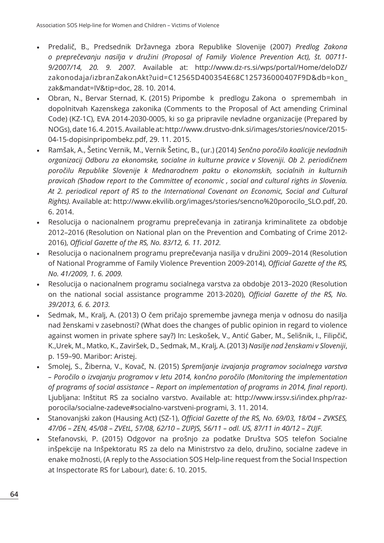- Predalič, B., Predsednik Državnega zbora Republike Slovenije (2007) *Predlog Zakona o preprečevanju nasilja v družini (Proposal of Family Violence Prevention Act), št. 00711- 9/2007/14, 20. 9. 2007.* Available at: http://www.dz-rs.si/wps/portal/Home/deloDZ/ zakonodaja/izbranZakonAkt?uid=C12565D400354E68C125736000407F9D&db=kon\_ zak&mandat=IV&tip=doc, 28. 10. 2014.
- Obran, N., Bervar Sternad, K. (2015) Pripombe k predlogu Zakona o spremembah in dopolnitvah Kazenskega zakonika (Comments to the Proposal of Act amending Criminal Code) (KZ-1C), EVA 2014-2030-0005, ki so ga pripravile nevladne organizacije (Prepared by NOGs), date 16. 4. 2015. Available at: http://www.drustvo-dnk.si/images/stories/novice/2015- 04-15-dopisinpripombekz.pdf, 29. 11. 2015.
- Ramšak, A., Šetinc Vernik, M., Vernik Šetinc, B., (ur.) (2014) *Senčno poročilo koalicije nevladnih organizacij Odboru za ekonomske, socialne in kulturne pravice v Sloveniji. Ob 2. periodičnem poročilu Republike Slovenije k Mednarodnem paktu o ekonomskih, socialnih in kulturnih pravicah (Shadow report to the Committee of economic , social and cultural rights in Slovenia. At 2. periodical report of RS to the International Covenant on Economic, Social and Cultural Rights).* Available at: http://www.ekvilib.org/images/stories/sencno%20porocilo\_SLO.pdf, 20. 6. 2014.
- Resolucija o nacionalnem programu preprečevanja in zatiranja kriminalitete za obdobje 2012–2016 (Resolution on National plan on the Prevention and Combating of Crime 2012- 2016), *Official Gazette of the RS, No. 83/12, 6. 11. 2012.*
- Resolucija o nacionalnem programu preprečevanja nasilja v družini 2009–2014 (Resolution of National Programme of Family Violence Prevention 2009-2014), *Official Gazette of the RS, No. 41/2009, 1. 6. 2009.*
- Resolucija o nacionalnem programu socialnega varstva za obdobje 2013–2020 (Resolution on the national social assistance programme 2013-2020), *Official Gazette of the RS, No. 39/2013, 6. 6. 2013.*
- Sedmak, M., Kralj, A. (2013) O čem pričajo spremembe javnega menja v odnosu do nasilja nad ženskami v zasebnosti? (What does the changes of public opinion in regard to violence against women in private sphere say?) In: Leskošek, V., Antić Gaber, M., Selišnik, I., Filipčič, K.,Urek, M., Matko, K., Zaviršek, D., Sedmak, M., Kralj, A. (2013) *Nasilje nad ženskami v Sloveniji*, p. 159–90. Maribor: Aristej.
- Smolej, S., Žiberna, V., Kovač, N. (2015) *Spremljanje izvajanja programov socialnega varstva – Poročilo o izvajanju programov v letu 2014, končno poročilo (Monitoring the implementation of programs of social assistance – Report on implementation of programs in 2014, final report)*. Ljubljana: Inštitut RS za socialno varstvo. Available at: http://www.irssv.si/index.php/razporocila/socialne-zadeve#socialno-varstveni-programi, 3. 11. 2014.
- Stanovanjski zakon (Hausing Act) (SZ-1), *Official Gazette of the RS, No. 69/03, 18/04 ZVKSES, 47/06 – ZEN, 45/08 – ZVEtL, 57/08, 62/10 – ZUPJS, 56/11 – odl. US, 87/11 in 40/12 – ZUJF.*
- Stefanovski, P. (2015) Odgovor na prošnjo za podatke Društva SOS telefon Socialne inšpekcije na Inšpektoratu RS za delo na Ministrstvo za delo, družino, socialne zadeve in enake možnosti, (A reply to the Association SOS Help-line request from the Social Inspection at Inspectorate RS for Labour), date: 6. 10. 2015.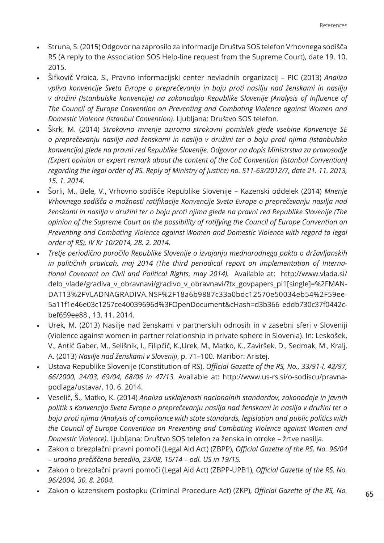- Struna, S. (2015) Odgovor na zaprosilo za informacije Društva SOS telefon Vrhovnega sodišča RS (A reply to the Association SOS Help-line request from the Supreme Court), date 19. 10. 2015.
- Šifkovič Vrbica, S., Pravno informacijski center nevladnih organizacij PIC (2013) *Analiza vpliva konvencije Sveta Evrope o preprečevanju in boju proti nasilju nad ženskami in nasilju v družini (Istanbulske konvencije) na zakonodajo Republike Slovenije (Analysis of Influence of The Council of Europe Convention on Preventing and Combating Violence against Women and Domestic Violence (Istanbul Convention)*. Ljubljana: Društvo SOS telefon.
- Škrk, M. (2014) *Strokovno mnenje oziroma strokovni pomislek glede vsebine Konvencije SE o preprečevanju nasilja nad ženskami in nasilja v družini ter o boju proti njima (Istanbulska konvencija) glede na pravni red Republike Slovenije. Odgovor na dopis Ministrstva za pravosodje (Expert opinion or expert remark about the content of the CoE Convention (Istanbul Convention) regarding the legal order of RS. Reply of Ministry of Justice) no. 511-63/2012/7, date 21. 11. 2013, 15. 1. 2014.*
- Šorli, M., Bele, V., Vrhovno sodišče Republike Slovenije Kazenski oddelek (2014) *Mnenje Vrhovnega sodišča o možnosti ratifikacije Konvencije Sveta Evrope o preprečevanju nasilja nad ženskami in nasilja v družini ter o boju proti njima glede na pravni red Republike Slovenije (The opinion of the Supreme Court on the possibility of ratifying the Council of Europe Convention on Preventing and Combating Violence against Women and Domestic Violence with regard to legal order of RS), IV Kr 10/2014, 28. 2. 2014.*
- *• Tretje periodično poročilo Republike Slovenije o izvajanju mednarodnega pakta o državljanskih in političnih pravicah, maj 2014 (The third periodical report on implementation of International Covenant on Civil and Political Rights, may 2014).* Available at: http://www.vlada.si/ delo\_vlade/gradiva\_v\_obravnavi/gradivo\_v\_obravnavi/?tx\_govpapers\_pi1[single]=%2FMAN-DAT13%2FVLADNAGRADIVA.NSF%2F18a6b9887c33a0bdc12570e50034eb54%2F59ee-5a11f1e46e03c1257ce40039696d%3FOpenDocument&cHash=d3b366 eddb730c37f0442cbef659ee88 , 13. 11. 2014.
- Urek, M. (2013) Nasilje nad ženskami v partnerskih odnosih in v zasebni sferi v Sloveniji (Violence against women in partner relationship in private sphere in Slovenia). In: Leskošek, V., Antić Gaber, M., Selišnik, I., Filipčič, K.,Urek, M., Matko, K., Zaviršek, D., Sedmak, M., Kralj, A. (2013) *Nasilje nad ženskami v Sloveniji*, p. 71–100. Maribor: Aristej.
- Ustava Republike Slovenije (Constitution of RS). *Official Gazette of the RS, No., 33/91-I, 42/97, 66/2000, 24/03, 69/04, 68/06 in 47/13.* Available at: http://www.us-rs.si/o-sodiscu/pravnapodlaga/ustava/, 10. 6. 2014.
- Veselič, Š., Matko, K. (2014) *Analiza usklajenosti nacionalnih standardov, zakonodaje in javnih politik s Konvencijo Sveta Evrope o preprečevanju nasilja nad ženskami in nasilja v družini ter o boju proti njima (Analysis of compliance with state standards, legislation and public politics with the Council of Europe Convention on Preventing and Combating Violence against Women and Domestic Violence)*. Ljubljana: Društvo SOS telefon za ženska in otroke – žrtve nasilja.
- Zakon o brezplačni pravni pomoči (Legal Aid Act) (ZBPP), *Official Gazette of the RS, No. 96/04 – uradno prečiščeno besedilo, 23/08, 15/14 – odl. US in 19/15.*
- Zakon o brezplačni pravni pomoči (Legal Aid Act) (ZBPP-UPB1), *Official Gazette of the RS, No. 96/2004, 30. 8. 2004.*
- Zakon o kazenskem postopku (Criminal Procedure Act) (ZKP), *Official Gazette of the RS, No.*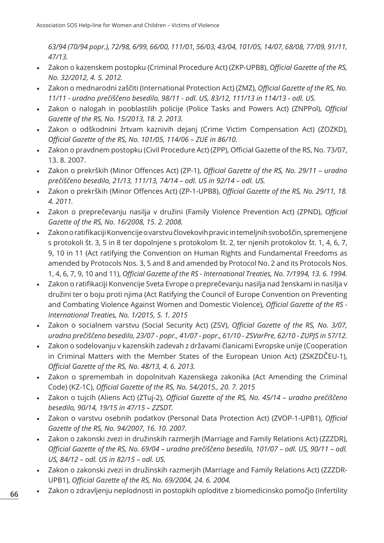*63/94 (70/94 popr.), 72/98, 6/99, 66/00, 111/01, 56/03, 43/04, 101/05, 14/07, 68/08, 77/09, 91/11, 47/13.*

- Zakon o kazenskem postopku (Criminal Procedure Act) (ZKP-UPB8), *Official Gazette of the RS, No. 32/2012, 4. 5. 2012.*
- Zakon o mednarodni zaščiti (International Protection Act) (ZMZ), *Official Gazette of the RS, No. 11/11 - uradno prečiščeno besedilo, 98/11 - odl. US, 83/12, 111/13 in 114/13 - odl. US.*
- Zakon o nalogah in pooblastilih policije (Police Tasks and Powers Act) (ZNPPol), *Official Gazette of the RS, No. 15/2013, 18. 2. 2013.*
- Zakon o odškodnini žrtvam kaznivih dejanj (Crime Victim Compensation Act) (ZOZKD), *Official Gazette of the RS, No. 101/05, 114/06 – ZUE in 86/10.*
- Zakon o pravdnem postopku (Civil Procedure Act) (ZPP), Official Gazette of the RS, No. 73/07, 13. 8. 2007.
- Zakon o prekrških (Minor Offences Act) (ZP-1), *Official Gazette of the RS, No. 29/11 uradno prečiščeno besedilo, 21/13, 111/13, 74/14 – odl. US in 92/14 – odl. US.*
- Zakon o prekrških (Minor Offences Act) (ZP-1-UPB8), *Official Gazette of the RS, No. 29/11, 18. 4. 2011.*
- Zakon o preprečevanju nasilja v družini (Family Violence Prevention Act) (ZPND), *Official Gazette of the RS, No. 16/2008, 15. 2. 2008.*
- Zakon o ratifikaciji Konvencije o varstvu človekovih pravic in temeljnih svoboščin, spremenjene s protokoli št. 3, 5 in 8 ter dopolnjene s protokolom št. 2, ter njenih protokolov št. 1, 4, 6, 7, 9, 10 in 11 (Act ratifying the Convention on Human Rights and Fundamental Freedoms as amended by Protocols Nos. 3, 5 and 8 and amended by Protocol No. 2 and its Protocols Nos. 1, 4, 6, 7, 9, 10 and 11), *Official Gazette of the RS - International Treaties, No. 7/1994, 13. 6. 1994.*
- Zakon o ratifikaciji Konvencije Sveta Evrope o preprečevanju nasilja nad ženskami in nasilja v družini ter o boju proti njima (Act Ratifying the Council of Europe Convention on Preventing and Combating Violence Against Women and Domestic Violence), *Official Gazette of the RS - International Treaties, No. 1/2015, 5. 1. 2015*
- Zakon o socialnem varstvu (Social Security Act) (ZSV), *Official Gazette of the RS, No. 3/07, uradno prečiščeno besedilo, 23/07 - popr., 41/07 - popr., 61/10 - ZSVarPre, 62/10 - ZUPJS in 57/12.*
- Zakon o sodelovanju v kazenskih zadevah z državami članicami Evropske unije (Cooperation in Criminal Matters with the Member States of the European Union Act) (ZSKZDČEU-1), *Official Gazette of the RS, No. 48/13, 4. 6. 2013.*
- Zakon o spremembah in dopolnitvah Kazenskega zakonika (Act Amending the Criminal Code) (KZ-1C), *Official Gazette of the RS, No. 54/2015., 20. 7. 2015*
- Zakon o tujcih (Aliens Act) (ZTuj-2), *Official Gazette of the RS, No. 45/14 uradno prečiščeno besedilo, 90/14, 19/15 in 47/15 – ZZSDT.*
- Zakon o varstvu osebnih podatkov (Personal Data Protection Act) (ZVOP-1-UPB1), *Official Gazette of the RS, No. 94/2007, 16. 10. 2007.*
- Zakon o zakonski zvezi in družinskih razmerjih (Marriage and Family Relations Act) (ZZZDR), *Official Gazette of the RS, No. 69/04 – uradno prečiščeno besedilo, 101/07 – odl. US, 90/11 – odl. US, 84/12 – odl. US in 82/15 – odl. US.*
- Zakon o zakonski zvezi in družinskih razmerjih (Marriage and Family Relations Act) (ZZZDR-UPB1), *Official Gazette of the RS, No. 69/2004, 24. 6. 2004.*
- Zakon o zdravljenju neplodnosti in postopkih oploditve z biomedicinsko pomočjo (Infertility

**66**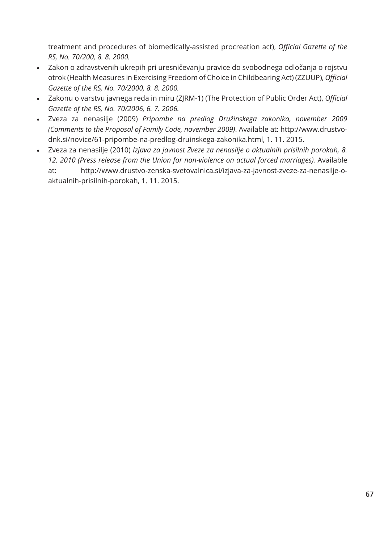treatment and procedures of biomedically-assisted procreation act), *Official Gazette of the RS, No. 70/200, 8. 8. 2000.*

- Zakon o zdravstvenih ukrepih pri uresničevanju pravice do svobodnega odločanja o rojstvu otrok (Health Measures in Exercising Freedom of Choice in Childbearing Act) (ZZUUP), *Official Gazette of the RS, No. 70/2000, 8. 8. 2000.*
- Zakonu o varstvu javnega reda in miru (ZJRM-1) (The Protection of Public Order Act), *Official Gazette of the RS, No. 70/2006, 6. 7. 2006.*
- Zveza za nenasilje (2009) *Pripombe na predlog Družinskega zakonika, november 2009 (Comments to the Proposal of Family Code, november 2009)*. Available at: http://www.drustvodnk.si/novice/61-pripombe-na-predlog-druinskega-zakonika.html, 1. 11. 2015.
- Zveza za nenasilje (2010) *Izjava za javnost Zveze za nenasilje o aktualnih prisilnih porokah, 8. 12. 2010 (Press release from the Union for non-violence on actual forced marriages).* Available at: http://www.drustvo-zenska-svetovalnica.si/izjava-za-javnost-zveze-za-nenasilje-oaktualnih-prisilnih-porokah, 1. 11. 2015.